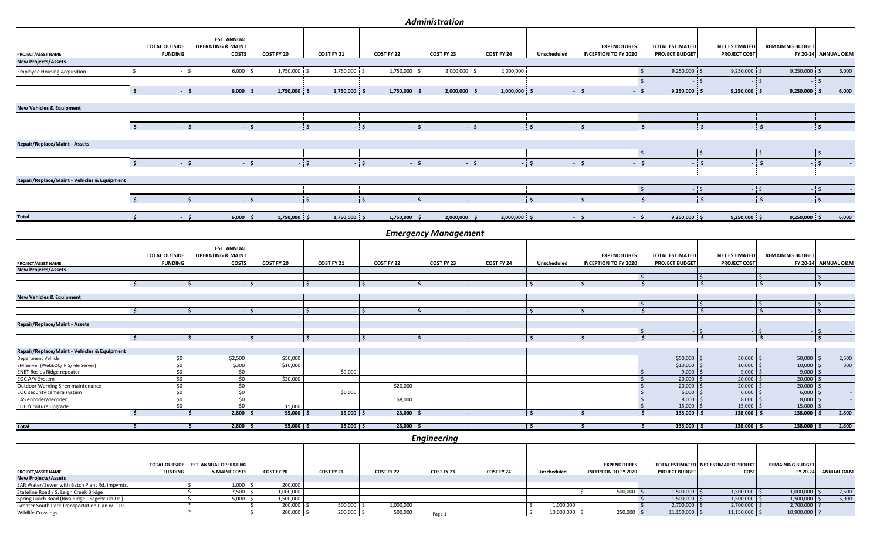## *Administration*

|                                             |                      | <b>EST. ANNUAL</b>                                 |              |              |              |                             |                    |              |                             |                         |                      |                         |                     |
|---------------------------------------------|----------------------|----------------------------------------------------|--------------|--------------|--------------|-----------------------------|--------------------|--------------|-----------------------------|-------------------------|----------------------|-------------------------|---------------------|
|                                             | <b>TOTAL OUTSIDE</b> | <b>OPERATING &amp; MAINT</b>                       |              |              |              |                             |                    |              | <b>EXPENDITURES</b>         | <b>TOTAL ESTIMATED</b>  | <b>NET ESTIMATED</b> | <b>REMAINING BUDGET</b> |                     |
| PROJECT/ASSET NAME                          | <b>FUNDING</b>       | <b>COSTS</b>                                       | COST FY 20   | COST FY 21   | COST FY 22   | COST FY 23                  | COST FY 24         | Unscheduled  | <b>INCEPTION TO FY 2020</b> | <b>PROJECT BUDGET</b>   | <b>PROJECT COST</b>  |                         | FY 20-24 ANNUAL O&M |
| <b>New Projects/Assets</b>                  |                      |                                                    |              |              |              |                             |                    |              |                             |                         |                      |                         |                     |
| <b>Employee Housing Acquisition</b>         | -Ś                   | $6,000$ \$                                         | 1,750,000 \$ | 1,750,000    | 1,750,000 \$ | 2,000,000 \$                | 2,000,000          |              |                             | $9,250,000$ \$          | $9,250,000$ \$       | $9,250,000$ \$          | 6,000               |
|                                             |                      |                                                    |              |              |              |                             |                    |              |                             |                         | $\leq$               | <b>S</b>                | <b>S</b>            |
|                                             | - \$                 | $-5$<br>$6,000$ \$                                 | 1,750,000 \$ | 1,750,000 \$ | 1,750,000 \$ | $2,000,000$ \$              | 2,000,000 \$       |              | $\mathsf{S}$                | $-5$<br>$9,250,000$ \$  | $9,250,000$ \$       | $9,250,000$ \$          | 6,000               |
| <b>New Vehicles &amp; Equipment</b>         |                      |                                                    |              |              |              |                             |                    |              |                             |                         |                      |                         |                     |
|                                             |                      |                                                    |              |              |              |                             |                    |              |                             |                         |                      |                         |                     |
|                                             | Ś.                   | $-5$                                               | $\mathsf{S}$ | $-5$         | ∴ S.         | ∴ Š                         | $-5$               | $-5$         | ∣ Ś.                        | $-5$                    | . .                  | \$                      | $-5$                |
| <b>Repair/Replace/Maint - Assets</b>        |                      |                                                    |              |              |              |                             |                    |              |                             |                         |                      |                         |                     |
|                                             |                      |                                                    |              |              |              |                             |                    |              |                             |                         | - 5                  | - \$                    | $-5$                |
|                                             | S.                   | . s                                                | ۱Ś           | - \$         |              | $\blacksquare$              | $-5$               | $-5$         | $\dot{\mathsf{s}}$          |                         | $\ddot{\mathbf{S}}$  | $\ddot{\mathbf{S}}$     | ∣ Ś                 |
|                                             |                      |                                                    |              |              |              |                             |                    |              |                             |                         |                      |                         |                     |
| Repair/Replace/Maint - Vehicles & Equipment |                      |                                                    |              |              |              |                             |                    |              |                             |                         |                      |                         |                     |
|                                             |                      |                                                    |              |              |              |                             |                    |              |                             |                         | $\frac{1}{5}$        | $\frac{1}{5}$           | $-5$                |
|                                             | Ŝ.                   | - 5                                                | <b>S</b>     | $-5$         | $-5$         | $-5$                        |                    | $\mathsf{s}$ | $\sim$                      | $-5$                    | <b>S</b>             | $\mathsf{S}$            | $-5$                |
|                                             |                      |                                                    |              |              |              |                             |                    |              |                             |                         |                      |                         |                     |
| <b>Total</b>                                | $\mathsf{S}$         | $-5$<br>$6,000$ \$                                 | 1,750,000 \$ | 1,750,000 \$ | 1,750,000 \$ | 2,000,000                   | 2,000,000 \$<br>Ś. |              | $-5$                        | $9,250,000$ \$<br>$-15$ | $9,250,000$ \$       | $9,250,000$ \$          | 6,000               |
|                                             |                      |                                                    |              |              |              | <b>Emergency Management</b> |                    |              |                             |                         |                      |                         |                     |
|                                             | <b>TOTAL OUTSIDE</b> | <b>EST. ANNUAL</b><br><b>OPERATING &amp; MAINT</b> |              |              |              |                             |                    |              | <b>EXPENDITURES</b>         | <b>TOTAL ESTIMATED</b>  | <b>NET ESTIMATED</b> | <b>REMAINING BUDGET</b> |                     |
| PROJECT/ASSET NAME                          | <b>FUNDING</b>       | <b>COSTS</b>                                       | COST FY 20   | COST FY 21   | COST FY 22   | COST FY 23                  | COST FY 24         | Unscheduled  | <b>INCEPTION TO FY 2020</b> | <b>PROJECT BUDGET</b>   | PROJECT COST         |                         | FY 20-24 ANNUAL O&M |
| <b>New Projects/Assets</b>                  |                      |                                                    |              |              |              |                             |                    |              |                             |                         |                      |                         |                     |
|                                             |                      | l s                                                | l s          | ۰ls          |              | $\ddot{\mathbf{S}}$         |                    | $\mathsf{s}$ | <b>S</b>                    | $-1$ s                  | I \$                 | S.<br>$\mathsf{S}$      | I\$<br>l s          |
|                                             | $\vert$ \$           |                                                    |              |              |              |                             |                    |              |                             |                         |                      |                         |                     |
| <b>New Vehicles &amp; Equipment</b>         |                      |                                                    |              |              |              |                             |                    |              |                             |                         |                      |                         |                     |
|                                             |                      |                                                    |              |              |              |                             |                    |              |                             |                         |                      |                         |                     |

\$ - \$ - \$ - \$ - \$ - \$ **\$ - \$ - \$ - \$ - \$ - \$ - \$ - \$ - \$ - \$ - \$ - \$ - Repair/Replace/Maint - Assets** \$ - \$ - \$ - \$ - **\$ - \$ - \$ - \$ - \$ - \$ - \$ - \$ - \$ - \$ - \$ - \$ - Repair/Replace/Maint - Vehicles & Equipment** 

| <b>Department Vehicle</b>           |  | \$2,500               | \$50,000 |            |          |  |  | \$50,000 | 50,000       | 50,000      | 2,500 |
|-------------------------------------|--|-----------------------|----------|------------|----------|--|--|----------|--------------|-------------|-------|
| EM Server (WebEOC/IRIS/File Server) |  | \$300                 | \$10,000 |            |          |  |  | \$10,000 | $10,000$ ;   | 10,000      | 300   |
| <b>ENET Rosies Ridge repeater</b>   |  |                       |          | \$9,000    |          |  |  | 9,000    | 9,000        | 9,000       |       |
| EOC A/V System                      |  |                       | \$20,000 |            |          |  |  | 20,000   | $20,000$ \   | $20,000$ \$ |       |
| Outdoor Warning Siren maintenance   |  |                       |          |            | \$20,000 |  |  | 20,000   | 20,000       | 20,000      |       |
| EOC security camera system          |  |                       |          | \$6,000    |          |  |  | 6,000    | 6,000        | $6,000$ :   |       |
| EAS encoder/decoder                 |  |                       |          |            | \$8,000  |  |  | 8,000    | $8,000$ :    | $8,000$ \$  |       |
| EOC furniture upgrade               |  |                       | 15,000   |            |          |  |  | 15,000   | 15,000       | 15,000      |       |
|                                     |  | $2,800$ $\frac{6}{5}$ | 95,000   | $15,000$ ; | 28,000   |  |  | 138,000  | $138,000$ \$ | 138,000     | 2,800 |
|                                     |  |                       |          |            |          |  |  |          |              |             |       |

**Total \$ - \$ 2,800 \$ 95,000 \$ 15,000 \$ 28,000 \$ - \$ - \$ - \$ 138,000 \$ 138,000 \$ 138,000 \$ 2,800**

*Engineering*

|                                                |                | TOTAL OUTSIDE EST. ANNUAL OPERATING |            |            |            |            |            |             | <b>EXPENDITURES</b>         |                       | TOTAL ESTIMATED NET ESTIMATED PROJECT | <b>REMAINING BUDGET</b> |                       |
|------------------------------------------------|----------------|-------------------------------------|------------|------------|------------|------------|------------|-------------|-----------------------------|-----------------------|---------------------------------------|-------------------------|-----------------------|
| PROJECT/ASSET NAME                             | <b>FUNDING</b> | & MAINT COSTS                       | COST FY 20 | COST FY 21 | COST FY 22 | COST FY 23 | COST FY 24 | Unscheduled | <b>INCEPTION TO FY 2020</b> | <b>PROJECT BUDGET</b> | <b>COST</b>                           | FY 20-24                | <b>ANNUAL O&amp;M</b> |
| <b>New Projects/Assets</b>                     |                |                                     |            |            |            |            |            |             |                             |                       |                                       |                         |                       |
| SAR Water/Sewer with Batch Plant Rd. impvmts.  |                | $1.000$ .                           | 200,000    |            |            |            |            |             |                             |                       |                                       |                         |                       |
| Stateline Road / S. Leigh Creek Bridge         |                | 7,500                               | 1,000,000  |            |            |            |            |             | $500,000$ \$                | $1,500,000$ \$        | 1,500,000                             | 1,000,000               | 7,500                 |
| Spring Gulch Road (Riva Ridge - Sagebrush Dr.) |                | 5.000                               | 1,500,000  |            |            |            |            |             |                             | 1,500,000 \$          | 1,500,000                             | 1,500,000               | 5,000                 |
| Greater South Park Transportation Plan w. TOJ  |                |                                     | 200,000    | 500,000    | 1,000,000  |            |            | 1,000,000   |                             | $2,700,000$ \$        | 2,700,000                             | 2,700,000               |                       |
| <b>Wildlife Crossings</b>                      |                |                                     | 200,000    | 200,000    | 500,000    | Page 1     |            | 10,000,000  | 250,000 \$                  | $11,150,000$ \$       | 11,150,000                            | 10,900,000              |                       |
|                                                |                |                                     |            |            |            |            |            |             |                             |                       |                                       |                         |                       |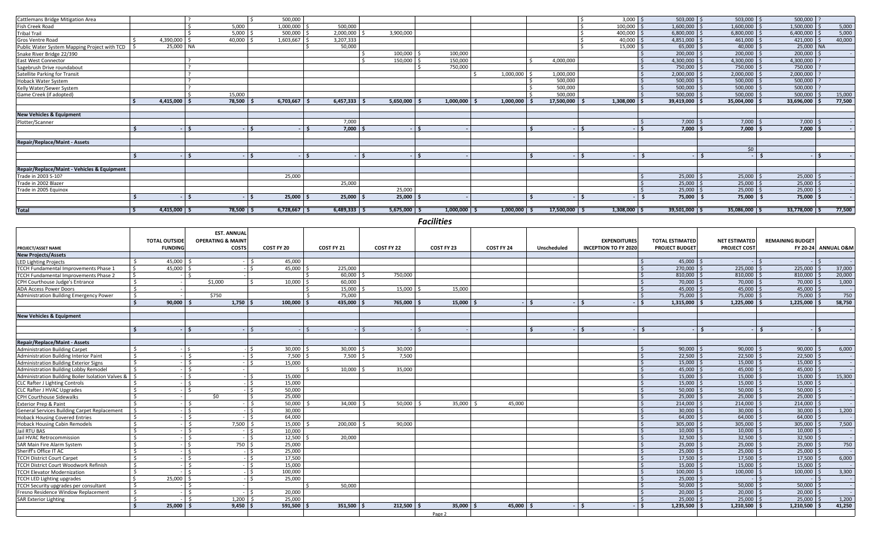| Cattlemans Bridge Mitigation Area            |                        |               | 500,000          |                        |                  |                           |                           |                   | $3,000$ \$<br><sup>5</sup> | $503,000$ \$               | $503,000$ \$            | $500,000$ ?       |        |
|----------------------------------------------|------------------------|---------------|------------------|------------------------|------------------|---------------------------|---------------------------|-------------------|----------------------------|----------------------------|-------------------------|-------------------|--------|
| Fish Creek Road                              |                        | 5,000         | 1,000,000        | 500,000                |                  |                           |                           |                   | 100,000                    | $1,600,000$ \$             | $1,600,000$ \$          | 1,500,000         | 5,000  |
| Tribal Trail                                 |                        | 5.000         | 500,000          | 2,000,000              | 3,900,000        |                           |                           |                   | 400,000                    | $6,800,000$ \$             | $6,800,000$ \$          | 6,400,000         | 5,000  |
| Gros Ventre Road                             | 4,390,000              | 40.000        | 1,603,667        | 3,207,333              |                  |                           |                           |                   | 40.000                     | 4,851,000                  | 461,000                 | 421,000           | 40,000 |
| Public Water System Mapping Project with TCD | 25,000 NA              |               |                  | 50,000                 |                  |                           |                           |                   | 15,000                     | 65,000                     | 40,000                  | 25,000 NA         |        |
| Snake River Bridge 22/390                    |                        |               |                  |                        | 100,000          | 100,000                   |                           |                   |                            | $200,000$ \$               | 200,000                 | $200,000$ \$      |        |
| <b>East West Connector</b>                   |                        |               |                  |                        | 150,000          | 150,000                   |                           | 4,000,000         |                            | 4,300,000 \$               | 4,300,000 \$            | 4,300,000         |        |
| Sagebrush Drive roundabout                   |                        |               |                  |                        |                  | 750,000                   |                           |                   |                            | 750,000                    | 750,000 \$              | 750,000           |        |
| Satellite Parking for Transit                |                        |               |                  |                        |                  |                           | 1,000,000                 | 1,000,000         |                            | 2,000,000                  | 2,000,000               | 2,000,000         |        |
| Hoback Water System                          |                        |               |                  |                        |                  |                           |                           | 500.000           |                            | $500,000$ :                | $500,000$ \$            | 500,000           |        |
| Kelly Water/Sewer System                     |                        |               |                  |                        |                  |                           |                           | 500,000           |                            | 500,000                    | $500,000$ \$            | $500,000$ ?       |        |
| Game Creek (if adopted)                      |                        | 15,000        |                  |                        |                  |                           |                           | 500,000           |                            | 500,000                    | $500,000$ :             | 500,000           | 15,000 |
|                                              | 4,415,000              | 78,500        | 6,703,667        | 6,457,333              | 5,650,000        | 1,000,000                 | 1,000,000                 | 17,500,000        | 1,308,000                  | 39,419,000                 | 35,004,000              | 33,696,000        | 77,500 |
|                                              |                        |               |                  |                        |                  |                           |                           |                   |                            |                            |                         |                   |        |
| <b>New Vehicles &amp; Equipment</b>          |                        |               |                  |                        |                  |                           |                           |                   |                            |                            |                         |                   |        |
| Plotter/Scanner                              |                        |               |                  | 7,000                  |                  |                           |                           |                   |                            | 7,000                      | $7,000$ :               | 7,000             |        |
|                                              |                        |               |                  | 7,000                  |                  |                           |                           |                   | -Ś                         | $7,000$ $\frac{6}{3}$      | $7,000$ \$              | 7,000             |        |
|                                              |                        |               |                  |                        |                  |                           |                           |                   |                            |                            |                         |                   |        |
| <b>Repair/Replace/Maint - Assets</b>         |                        |               |                  |                        |                  |                           |                           |                   |                            |                            |                         |                   |        |
|                                              |                        |               |                  |                        |                  |                           |                           |                   |                            |                            | \$0                     |                   |        |
|                                              |                        |               |                  |                        |                  |                           |                           |                   |                            |                            |                         |                   |        |
|                                              |                        |               |                  |                        |                  |                           |                           |                   |                            |                            |                         |                   |        |
| Repair/Replace/Maint - Vehicles & Equipment  |                        |               |                  |                        |                  |                           |                           |                   |                            |                            |                         |                   |        |
| Trade in 2003 S-10?                          |                        |               | 25,000           |                        |                  |                           |                           |                   |                            | $25,000$ $\frac{1}{2}$     | $25,000$ \$             | $25,000$ \$       |        |
| Trade in 2002 Blazer                         |                        |               |                  | 25,000                 |                  |                           |                           |                   |                            | 25,000                     | 25,000                  | $25,000$ \$       |        |
| Trade in 2005 Equinox                        |                        |               |                  |                        | 25,000           |                           |                           |                   |                            | 25,000                     | $25,000$ \$             | 25,000            |        |
|                                              |                        |               | 25,000           | 25,000                 | 25,000           |                           |                           |                   |                            | 75,000                     | 75,000                  | 75,000 \$         |        |
|                                              |                        |               |                  |                        |                  |                           |                           |                   |                            |                            |                         |                   |        |
| Total                                        | $4,415,000$ $\sqrt{5}$ | $78,500$   \$ | $6,728,667$   \$ | $6,489,333$ $\sqrt{5}$ | $5,675,000$   \$ | $1,000,000$ $\frac{1}{5}$ | $1,000,000$ $\frac{1}{5}$ | $17,500,000$   \$ | $1,308,000$   \$           | $39,501,000$ $\frac{1}{5}$ | $35,086,000$ $\sqrt{5}$ | $33,778,000$   \$ | 77,500 |
|                                              |                        |               |                  |                        |                  |                           |                           |                   |                            |                            |                         |                   |        |

*Facilities*

|                                                   |                                | <b>EST. ANNUAL</b>            |                   |             |            |               |            |             |                             |                        |                      |                         |                                |
|---------------------------------------------------|--------------------------------|-------------------------------|-------------------|-------------|------------|---------------|------------|-------------|-----------------------------|------------------------|----------------------|-------------------------|--------------------------------|
|                                                   | <b>TOTAL OUTSIDE</b>           | <b>OPERATING &amp; MAINT</b>  |                   |             |            |               |            |             | <b>EXPENDITURES</b>         | <b>TOTAL ESTIMATED</b> | <b>NET ESTIMATED</b> | <b>REMAINING BUDGET</b> |                                |
| <b>PROJECT/ASSET NAME</b>                         | <b>FUNDING</b>                 | <b>COSTS</b>                  | COST FY 20        | COST FY 21  | COST FY 22 | COST FY 23    | COST FY 24 | Unscheduled | <b>INCEPTION TO FY 2020</b> | <b>PROJECT BUDGET</b>  | <b>PROJECT COST</b>  |                         | <b>FY 20-24 ANNUAL O&amp;M</b> |
| <b>New Projects/Assets</b>                        |                                |                               |                   |             |            |               |            |             |                             |                        |                      |                         |                                |
| <b>LED Lighting Projects</b>                      | 45,000<br>Ŝ                    |                               | 45,000            |             |            |               |            |             |                             | 45,000                 |                      |                         |                                |
| TCCH Fundamental Improvements Phase 1             | 45.000                         |                               | 45.000<br>$\prec$ | 225.000     |            |               |            |             |                             | 270,000                | 225,000 \$           | 225,000                 | 37,000                         |
| TCCH Fundamental Improvements Phase 2             |                                |                               |                   | 60.000      | 750,000    |               |            |             |                             | 810,000                | 810.000              | 810,000                 | 20,000                         |
| CPH Courthouse Judge's Entrance                   | $\prec$                        | \$1,000                       | 10.000            | 60.000      |            |               |            |             |                             | 70,000                 | 70,000               | 70,000                  | 1,000                          |
| <b>ADA Access Power Doors</b>                     |                                |                               |                   | 15,000      | 15,000     | 15.000        |            |             |                             | 45.000                 | 45,000               | 45.000                  |                                |
| Administration Building Emergency Power           | - \$                           | \$750                         |                   | 75.000      |            |               |            |             |                             | 75,000                 | 75,000               | 75,000                  | 750                            |
|                                                   | $\epsilon$<br>90.000           | 1,750                         | 100.000           | 435.000     | 765,000    | 15,000        |            |             |                             | 1.315.000              | 1.225.000            | 1.225.000               | 58,750                         |
| <b>New Vehicles &amp; Equipment</b>               |                                |                               |                   |             |            |               |            |             |                             |                        |                      |                         |                                |
|                                                   | $\ddot{\phantom{1}}$           | -Ś.                           |                   |             | $-15$      |               |            |             | $\sim$                      |                        |                      |                         |                                |
| <b>Repair/Replace/Maint - Assets</b>              |                                |                               |                   |             |            |               |            |             |                             |                        |                      |                         |                                |
| <b>Administration Building Carpet</b>             | -Ś                             | ΙŚ.                           | 30,000<br>$\zeta$ | $30,000$ \$ | 30,000     |               |            |             |                             | 90,000                 | $90.000$ $\leq$      | 90.000                  | 6,000                          |
| Administration Building Interior Paint            | $\zeta$                        |                               | 7,500             | $7.500$ \$  | 7.500      |               |            |             |                             | 22,500                 | 22,500               | 22.500                  |                                |
| Administration Building Exterior Signs            | s.                             | $\zeta$                       | $\sim$<br>15.000  |             |            |               |            |             |                             | 15,000                 | $15.000$ S           | 15,000                  |                                |
| Administration Building Lobby Remodel             | $\leq$                         |                               |                   | $10.000$ S  | 35.000     |               |            |             |                             | 45,000                 | $45,000$ \$          | 45,000                  |                                |
| Administration Building Boiler Isolation Valves & |                                | ¢                             | 15,000            |             |            |               |            |             |                             | 15,000                 | 15,000               | 15.000                  | 15,300                         |
| <b>CLC Rafter J Lighting Controls</b>             |                                |                               | 15.000            |             |            |               |            |             |                             | 15.000                 | 15.000               | 15.000                  |                                |
| <b>CLC Rafter J HVAC Upgrades</b>                 | -                              |                               | 50,000            |             |            |               |            |             |                             | 50,000                 | 50,000               | 50,000                  |                                |
| CPH Courthouse Sidewalks                          |                                | \$0                           | 25,000            |             |            |               |            |             |                             | 25,000                 | 25,000               | 25,000                  |                                |
| <b>Exterior Prep &amp; Paint</b>                  | $\hat{\zeta}$                  |                               | 50,000<br>$\leq$  | 34,000      | 50.000     | 35,000        | 45.000     |             |                             | 214,000                | 214,000              | 214,000                 |                                |
| General Services Building Carpet Replacement      |                                | ∣ ≮                           | 30,000<br>$\zeta$ |             |            |               |            |             |                             | 30,000                 | 30,000               | 30,000                  | 1,200                          |
| <b>Hoback Housing Covered Entries</b>             | <sup>\$</sup>                  | $\zeta$                       | 64,000            |             |            |               |            |             |                             | 64,000                 | $64,000$ \$          | 64,000                  |                                |
| <b>Hoback Housing Cabin Remodels</b>              | $\zeta$                        | 7,500<br>$\ddot{\phantom{1}}$ | 15.000            | 200.000     | 90.000     |               |            |             |                             | 305,000                | $305.000$ $\leq$     | 305,000                 | 7,500                          |
| Jail RTU BAS                                      | -Ś                             | ÷.                            | 10,000            |             |            |               |            |             |                             | 10,000                 | $10,000$ \$          | 10,000                  |                                |
| Jail HVAC Retrocommission                         | -Ś                             | Ŝ.                            | 12.500<br>$\leq$  | 20.000      |            |               |            |             |                             | 32,500                 | 32,500               | 32.500                  |                                |
| SAR Main Fire Alarm System                        | \$                             | 750 \$<br>\$                  | 25,000            |             |            |               |            |             |                             | 25,000                 | 25,000               | 25,000                  | 750                            |
| Sheriff's Office IT AC                            | $\leq$                         |                               | 25.000<br>$\zeta$ |             |            |               |            |             |                             | 25,000                 | 25,000               | 25,000                  |                                |
| <b>TCCH District Court Carpet</b>                 | $\zeta$                        |                               | 17,500<br>- I S   |             |            |               |            |             |                             | 17,500                 | 17,500               | 17,500                  | 6,000                          |
| TCCH District Court Woodwork Refinish             | $\hat{\zeta}$                  |                               | 15,000            |             |            |               |            |             |                             | 15,000                 | 15,000               | 15,000                  |                                |
| <b>TCCH Elevator Modernization</b>                | $\zeta$                        |                               | 100,000<br>l \$   |             |            |               |            |             |                             | 100,000                | 100,000              | 100,000                 | 3,300                          |
| <b>TCCH LED Lighting upgrades</b>                 | 25,000<br>-Ŝ                   |                               | 25,000<br>$\zeta$ |             |            |               |            |             |                             | 25,000                 |                      |                         |                                |
| TCCH Security upgrades per consultant             | Ŝ.                             |                               |                   | 50.000      |            |               |            |             |                             | 50,000                 | $50.000$ :           | 50.000                  |                                |
| Fresno Residence Window Replacement               | $\mathsf{S}$                   |                               | 20,000            |             |            |               |            |             |                             | 20,000                 | $20,000$ \$          | 20,000                  |                                |
| <b>SAR Exterior Lighting</b>                      | s.                             | 1,200                         | 25.000            |             |            |               |            |             |                             | 25,000                 | 25,000               | 25,000                  | 1,200                          |
|                                                   | 25,000<br>$\ddot{\phantom{1}}$ | 9,450                         | 591,500           | 351,500     | 212,500    | $35,000$   \$ | 45,000     |             | $\ddot{\phantom{0}}$        | 1,235,500              | 1,210,500            | 1,210,500               | 41,250                         |
|                                                   |                                |                               |                   |             |            | Page 2        |            |             |                             |                        |                      |                         |                                |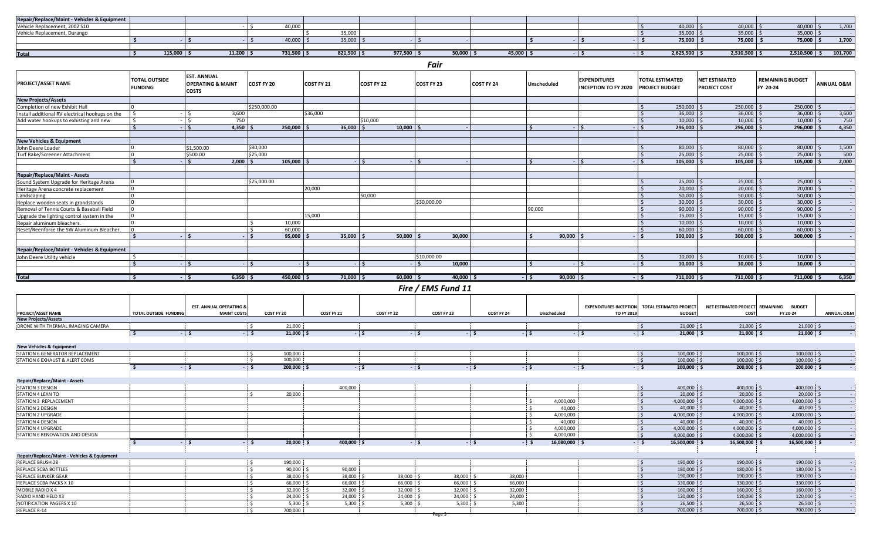| Repair/Replace/Maint - Vehicles & Equipment |              |               |                                     |                 |                                |              |        |  |                       |                        |           |                     |
|---------------------------------------------|--------------|---------------|-------------------------------------|-----------------|--------------------------------|--------------|--------|--|-----------------------|------------------------|-----------|---------------------|
| hicle Replacement, 2002 S10                 |              |               | 40.000                              |                 |                                |              |        |  | 40,000                | 40,000                 | 40,000 :  | 1.700<br>$\pm 0.70$ |
| Vehicle Replacement, Durango                |              |               |                                     | $\cup$ , $\cup$ |                                |              |        |  | $35,000$ \;           | $35,000$ \$            | 35,000    |                     |
|                                             |              |               | 40,000                              | 35,000          |                                |              |        |  | 75,000                | 75,000                 | 75,000    | 1,700               |
|                                             |              |               |                                     |                 |                                |              |        |  |                       |                        |           |                     |
| Tota                                        | $115,000$ \$ | $11,200$   \$ | $731,500$ $\overline{\phantom{1}5}$ | $821,500$   \$  | $977,500$ $\ddot{\phantom{1}}$ | $50,000$   9 | 45,000 |  | $2,625,500$ $\mid$ \$ | $2,510,500$ $\sqrt{5}$ | 2,510,500 | 101,700             |

*Fair*

|                                                 |                                        |                                                                    |                     |             |                      | .                  |            |                        |                                                    |                                                 |                                             |                                        |                       |
|-------------------------------------------------|----------------------------------------|--------------------------------------------------------------------|---------------------|-------------|----------------------|--------------------|------------|------------------------|----------------------------------------------------|-------------------------------------------------|---------------------------------------------|----------------------------------------|-----------------------|
| <b>PROJECT/ASSET NAME</b>                       | <b>FOTAL OUTSIDE</b><br><b>FUNDING</b> | <b>EST. ANNUAL</b><br><b>OPERATING &amp; MAINT</b><br><b>COSTS</b> | COST FY 20          | COST FY 21  | COST FY 22           | COST FY 23         | COST FY 24 | <b>Unscheduled</b>     | <b>EXPENDITURES</b><br><b>INCEPTION TO FY 2020</b> | <b>TOTAL ESTIMATED</b><br><b>PROJECT BUDGET</b> | <b>NET ESTIMATED</b><br><b>PROJECT COST</b> | <b>REMAINING BUDGET</b><br>FY 20-24    | <b>ANNUAL O&amp;M</b> |
| <b>New Projects/Assets</b>                      |                                        |                                                                    |                     |             |                      |                    |            |                        |                                                    |                                                 |                                             |                                        |                       |
| Completion of new Exhibit Hall                  |                                        |                                                                    | \$250,000.00        |             |                      |                    |            |                        |                                                    | 250,000 \$                                      | 250,000 \$                                  | 250,000                                |                       |
| Install additional RV electrical hookups on the |                                        | 3,600                                                              |                     | \$36,000    |                      |                    |            |                        |                                                    | $36,000$ \$                                     | $36,000$ \$                                 | $36,000$ \$                            | 3,600                 |
| Add water hookups to exhisting and new          |                                        | 750<br><sup>5</sup>                                                |                     |             | \$10,000             |                    |            |                        |                                                    | $10,000$ \$                                     | $10,000$ \$                                 | $10,000$ \$                            | 750                   |
|                                                 |                                        | $-15$<br>$4,350$ \$                                                | 250,000             | 36,000      | $10,000$   \$        |                    |            |                        | - I S                                              | $296,000$ \$<br>.                               | $296,000$ \$                                | $296,000$ $\mid$ \$                    | 4,350                 |
|                                                 |                                        |                                                                    |                     |             |                      |                    |            |                        |                                                    |                                                 |                                             |                                        |                       |
| <b>New Vehicles &amp; Equipment</b>             |                                        |                                                                    |                     |             |                      |                    |            |                        |                                                    |                                                 |                                             |                                        |                       |
| John Deere Loader                               |                                        | \$1.500.00                                                         | \$80,000            |             |                      |                    |            |                        |                                                    | $80,000$ \$                                     | $80,000$ \$                                 | 80,000                                 | 1,500                 |
| Turf Rake/Screener Attachment                   |                                        | \$500.00                                                           | \$25,000            |             |                      |                    |            |                        |                                                    | $25,000$ \$                                     | $25,000$ \$                                 | $25,000$ \$                            | 500                   |
|                                                 |                                        | 2.000                                                              | 105.000             |             | $\ddot{\phantom{1}}$ |                    |            |                        | $\ddot{\mathbf{S}}$                                | $105,000$ \$                                    | 105,000                                     | 105,000                                | 2,000                 |
|                                                 |                                        |                                                                    |                     |             |                      |                    |            |                        |                                                    |                                                 |                                             |                                        |                       |
| <b>Repair/Replace/Maint - Assets</b>            |                                        |                                                                    |                     |             |                      |                    |            |                        |                                                    |                                                 |                                             |                                        |                       |
| Sound System Upgrade for Heritage Arena         |                                        |                                                                    | \$25,000.00         |             |                      |                    |            |                        |                                                    | $25,000$ \$                                     | $25,000$ \$                                 | $25,000$ \$                            |                       |
| Heritage Arena concrete replacement             |                                        |                                                                    |                     | 20,000      |                      |                    |            |                        |                                                    | $20,000$ \$                                     | $20,000$ \$                                 | $20,000$ \$                            |                       |
| Landscaping                                     |                                        |                                                                    |                     |             | 50,000               |                    |            |                        |                                                    | $50,000$ \$                                     | $50.000$ S                                  | $50,000$ \$                            |                       |
| Replace wooden seats in grandstands             |                                        |                                                                    |                     |             |                      | \$30,000.00        |            |                        |                                                    | $30,000$ \$                                     | $30,000$ \$                                 | $30,000$ \$                            |                       |
| Removal of Tennis Courts & Baseball Field       |                                        |                                                                    |                     |             |                      |                    |            | 90,000                 |                                                    | $90,000$ \$                                     | $90,000$ \$                                 | $90,000$ \$                            |                       |
| Upgrade the lighting control system in the      |                                        |                                                                    |                     | 15,000      |                      |                    |            |                        |                                                    | $15,000$ \$                                     | $15,000$ \$                                 | $15,000$ \$                            |                       |
| Repair aluminum bleachers.                      |                                        |                                                                    | 10,000              |             |                      |                    |            |                        |                                                    | $10,000$ \$                                     | $10,000$ \$                                 | $10,000$   \$                          |                       |
| Reset/Reenforce the SW Aluminum Bleacher.       |                                        |                                                                    | 60,000              |             |                      |                    |            |                        |                                                    | $60,000$ \$                                     | $60,000$ \$                                 | $60,000$ \$                            |                       |
|                                                 |                                        |                                                                    | 95.000              | 35,000      | 50.000               | 30,000             |            | 90.000                 |                                                    | $300.000$ S                                     | $300.000$ \$                                | 300,000                                |                       |
| Repair/Replace/Maint - Vehicles & Equipment     |                                        |                                                                    |                     |             |                      |                    |            |                        |                                                    |                                                 |                                             |                                        |                       |
| John Deere Utility vehicle                      |                                        |                                                                    |                     |             |                      | \$10,000.00        |            |                        |                                                    | $10,000$ \$                                     | $10,000$ \$                                 | $10,000$ \$                            |                       |
|                                                 |                                        | $-15$                                                              | $-15$               | $-15$       | $-15$                | 10,000<br>.        |            |                        | $-15$                                              | $10,000$   \$<br>- 13                           | $10,000$   \$                               | $10,000$   \$                          |                       |
|                                                 |                                        |                                                                    |                     |             |                      |                    |            |                        |                                                    |                                                 |                                             |                                        |                       |
| <b>Total</b>                                    |                                        | $6,350$ $\frac{2}{5}$<br>$-15$                                     | $450,000$ \$        | $71,000$ \$ | $60,000$ $\sqrt{5}$  | $40,000$   \$      |            | $90,000$   \$<br>$-1S$ |                                                    | $711,000$ \$<br>$-15$                           | $711,000$ $\frac{2}{5}$                     | $711,000$ $\frac{2}{5}$                | 6,350                 |
|                                                 |                                        |                                                                    |                     |             |                      | Fire / EMS Fund 11 |            |                        |                                                    |                                                 |                                             |                                        |                       |
|                                                 |                                        |                                                                    |                     |             |                      |                    |            |                        |                                                    |                                                 |                                             |                                        |                       |
|                                                 |                                        | <b>EST. ANNUAL OPERATING &amp;</b>                                 |                     |             |                      |                    |            |                        | <b>EXPENDITURES INCEPTION</b>                      | <b>TOTAL ESTIMATED PROJECT</b>                  |                                             | NET ESTIMATED PROJECT REMAINING BUDGET |                       |
| PROJECT/ASSET NAME                              | <b>TOTAL OUTSIDE FUNDING</b>           | <b>MAINT COSTS</b>                                                 | COST FY 20          | COST FY 21  | COST FY 22           | COST FY 23         | COST FY 24 | Unscheduled            | TO FY 2019                                         | <b>BUDGET</b>                                   | COST                                        | FY 20-24                               | <b>ANNUAL O&amp;M</b> |
| <b>New Projects/Assets</b>                      |                                        |                                                                    |                     |             |                      |                    |            |                        |                                                    |                                                 |                                             |                                        |                       |
| DRONE WITH THERMAL IMAGING CAMERA               |                                        |                                                                    | 21,000              |             |                      |                    |            |                        |                                                    | 21,000 \$                                       | $21,000$ \$                                 | $21,000$ \$                            |                       |
|                                                 | Ŝ.                                     | $-5$                                                               | $-5$<br>$21,000$ \$ |             | $-15$                | $-15$              | $-5$       | $-5$                   | $-15$                                              | 21,000 \$<br>$-15$                              | 21,000 \$                                   | $21,000$ \$                            |                       |

**New Vehicles & Equipment**

| TOR REPLACEMENT<br>STATION 6 GENERA          |  | 100,000 |  |  |  | 100,000 | LOO,000 S  | 100,000                      |  |
|----------------------------------------------|--|---------|--|--|--|---------|------------|------------------------------|--|
| 6 EXHAUST & ALERT COMS<br><b>STATION 6 F</b> |  | 100,000 |  |  |  | 100,000 | 100,000 \$ | 100,000                      |  |
|                                              |  | 200,000 |  |  |  | 200,000 | 200,000    | $200.000$ :<br>$200,000 + 7$ |  |

**Repair/Replace/Maint - Assets** STATION 3 DESIGN 400,000 \$ 400,000 \$ 400,000 \$ 400,000 \$ - STATION 4 LEAN TO \$ \$ 20,000 \$ \$ 20,000 \$ \$ 20,000 \$ 20,000 \$ 20,000 \$ 20,000 \$ 20,000 \$ 20,000 \$ -STATION 3 REPLACEMENT \$ 4,000,000 \$ 4,000,000 \$ 4,000,000 \$ 4,000,000 \$ - STATION 2 DESIGN \$ 40,000 \$ 40,000 \$ 40,000 \$ 40,000 \$ - STATION 2 UPGRADE \$ 4,000,000 \$ 4,000,000 \$ 4,000,000 \$ 4,000,000 \$ - STATION 4 DESIGN \$ 40,000 \$ 40,000 \$ 40,000 \$ 40,000 \$ - STATION 4 UPGRADE \$ 4,000,000 \$ 4,000,000 \$ 4,000,000 \$ 4,000,000 \$ - STATION 6 RENOVATION AND DESIGN \$ 4,000,000 \$ 4,000,000 \$ 4,000,000 \$ 4,000,000 \$ - **\$ - \$ - \$ 20,000 \$ 400,000 \$ - \$ - \$ - \$ 16,080,000 \$ - \$ 16,500,000 \$ 16,500,000 \$ 16,500,000 \$ -**

**Repair/Replace/Maint - Vehicles & Equipment**  REPLACE BRUSH 28 \$ 190,000 \$ \$ 190,000 \$ \$ 190,000 \$ 190,000 \$ 190,000 \$ 190,000 \$ 190,000 \$ 190,000 \$ 190,000 REPLACE SCBA BOTTLES \$ 90,000 \$ 90,000 \$ 180,000 \$ 180,000 \$ 180,000 \$ - REPLACE BUNKER GEAR \$ \$ \$ \$ \$ \$ \$ \$ \$ 38,000 \$ 38,000 \$ 38,000 \$ 38,000 \$ \$ 190,000 \$ 190,000 \$ 190,000 \$ 190,000 \$ REPLACE SCBA PACKS X 10 \$ \$ \$30,000 \$ 66,000 \$ 66,000 \$ 66,000 \$ 66,000 \$ 66,000 \$ 330,000 \$ 330,000 \$ 330,000 \$ -MOBILE RADIO X 4 \$ \$ \$2,000 \$ \$ 32,000 \$ 32,000 \$ 32,000 \$ 32,000 \$ 32,000 \$ 160,000 \$ 160,000 \$ 160,000 \$ - \$ RADIO HAND HELD X3 \$ 20,000 \$ \$ 24,000 \$ 24,000 \$ 24,000 \$ 24,000 \$ 24,000 \$ 24,000 \$ 120,000 \$ 120,000 \$ 120,000 \$ -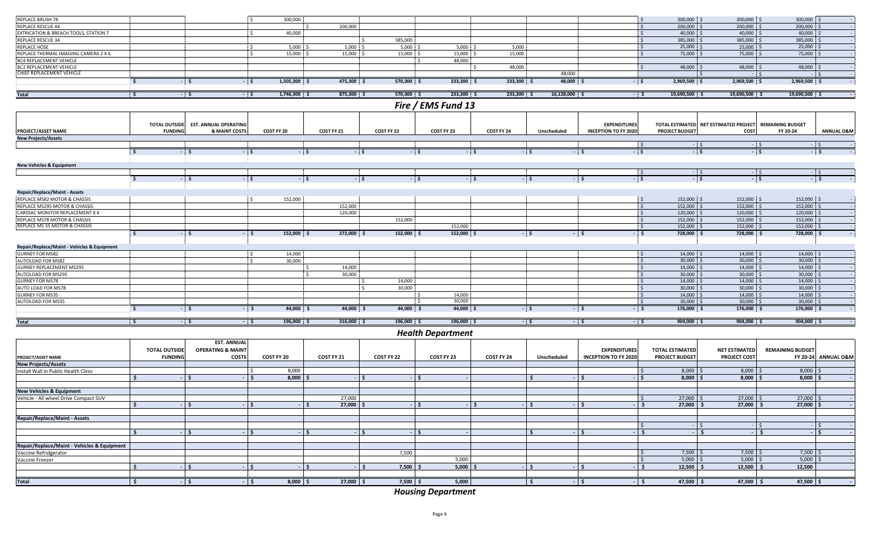| REPLACE BRUSH 78                            |                      |                              | 300.000                        |              |               |                          |               |                 |                             | 300,000 \$      | 300,000 \$                            | $300,000$ \$            |                       |
|---------------------------------------------|----------------------|------------------------------|--------------------------------|--------------|---------------|--------------------------|---------------|-----------------|-----------------------------|-----------------|---------------------------------------|-------------------------|-----------------------|
| <b>REPLACE RESCUE 44</b>                    |                      |                              |                                | 200.000      |               |                          |               |                 | i s                         | $200.000$ \$    | $200,000$ \$                          | $200,000$ \$            |                       |
| EXTRICATION & BREACH TOOLS, STATION 7       |                      |                              | 40.000<br>Š.                   |              |               |                          |               |                 | $\mathsf{S}$                | $40.000$ \$     | $40.000$ \$                           | $40,000$ \$             |                       |
| <b>REPLACE RESCUE 34</b>                    |                      |                              |                                |              | 385,000<br>Š. |                          |               |                 | S.                          | 385,000 \$      | 385,000 \$                            | 385,000                 |                       |
| <b>REPLACE HOSE</b>                         |                      |                              | 5,000                          | 5.000        | 5,000         | 5,000                    | 5,000         |                 | i ¢                         | $25,000$ \$     | 25,000                                | 25,000                  |                       |
| REPLACE THERMAL IMAGING CAMERA 2 X 6        |                      |                              | 15,000                         | 15,000       | 15,000        | 15,000                   | 15,000        |                 | $\leq$                      | 75,000 S        | 75,000                                | 75,000                  |                       |
| <b>BC4 REPLACEMENT VEHICLE</b>              |                      |                              |                                |              |               | 48,000<br>$\epsilon$     |               |                 |                             |                 |                                       |                         |                       |
| <b>BC2 REPLACEMENT VEHICLE</b>              |                      |                              |                                |              |               |                          | 48,000        |                 |                             | 48,000 \$       | 48,000 \$                             | 48,000                  |                       |
| CHIEF REPLACEMENT VEHICLE                   |                      |                              |                                |              |               |                          |               | 48,000          |                             |                 | ٠¢<br>$ \leq$                         | $-5$                    |                       |
|                                             | s.                   | $\frac{1}{2}$                | $1,505,300$ \$<br>$-5$         | 475,300 \$   | $570,300$ \$  | $233,300$ \$             | $233,300$ \$  | 48,000 \$       | $-5$                        | $2,969,500$ \$  | $2,969,500$ \$                        | 2,969,500 \$            |                       |
|                                             |                      |                              |                                |              |               |                          |               |                 |                             |                 |                                       |                         |                       |
| <b>Total</b>                                | ं \$                 | $-5$                         | $1,746,300$ \$<br>$-5$         | $875,300$ \$ | $570,300$ \$  | $233,300$ \$             | 233,300 \$    | $16,128,000$ \$ | $-5$                        | $19,690,500$ \$ | $19,690,500$ \$                       | $19,690,500$ \$         |                       |
|                                             |                      |                              |                                |              |               | Fire / EMS Fund 13       |               |                 |                             |                 |                                       |                         |                       |
|                                             |                      |                              |                                |              |               |                          |               |                 |                             |                 |                                       |                         |                       |
|                                             | <b>TOTAL OUTSIDE</b> | <b>EST. ANNUAL OPERATING</b> |                                |              |               |                          |               |                 | <b>EXPENDITURES</b>         |                 | TOTAL ESTIMATED NET ESTIMATED PROJECT | <b>REMAINING BUDGET</b> |                       |
| PROJECT/ASSET NAME                          | <b>FUNDING</b>       | <b>&amp; MAINT COSTS</b>     | COST FY 20                     | COST FY 21   | COST FY 22    | COST FY 23               | COST FY 24    | Unscheduled     | <b>INCEPTION TO FY 2020</b> | PROJECT BUDGET  | COST                                  | FY 20-24                | <b>ANNUAL O&amp;M</b> |
| <b>New Projects/Assets</b>                  |                      |                              |                                |              |               |                          |               |                 |                             |                 |                                       |                         |                       |
|                                             |                      |                              |                                |              |               |                          |               |                 | $\sim$                      | $-5$            | $ \zeta$                              | $-15$                   |                       |
|                                             | ' s                  | $-5$                         | $-5$<br>$-5$                   | $-5$         |               | $-5$<br>$-5$             | $-5$          | $-5$            | $-15$                       | $-5$            | $-5$                                  | $-5$                    |                       |
| <b>New Vehicles &amp; Equipment</b>         |                      |                              |                                |              |               |                          |               |                 |                             |                 |                                       |                         |                       |
|                                             |                      |                              |                                |              |               |                          |               |                 | $\mathsf{S}$                |                 | $-5$<br>$-5$                          | $-5$                    |                       |
|                                             | S.                   | $-5$                         | - 5                            | $-5$<br>$-5$ |               | $-5$<br>$-5$             |               | $-5$            | $-5$<br>- \$                |                 | $-5$<br>$-5$                          | $-5$                    |                       |
|                                             |                      |                              |                                |              |               |                          |               |                 |                             |                 |                                       |                         |                       |
| <b>Repair/Replace/Maint - Assets</b>        |                      |                              |                                |              |               |                          |               |                 |                             |                 |                                       |                         |                       |
| REPLACE MS82 MOTOR & CHASSIS                |                      |                              | 152,000                        |              |               |                          |               |                 | 15                          | 152,000 \$      | 152,000 \$                            | 152,000 \$              |                       |
| REPLACE MS295 MOTOR & CHASSIS               |                      |                              |                                | 152.000      |               |                          |               |                 | $\overline{\mathsf{s}}$     | 152,000 \$      | 152,000 \$                            | 152,000 \$              |                       |
| CARDIAC MONITOR REPLACEMENT X 4             |                      |                              |                                | 120,000      |               |                          |               |                 | <b>S</b>                    | 120,000 \$      | $120,000$ \$                          | $120,000$ \$            |                       |
| REPLACE MS78 MOTOR & CHASSIS                |                      |                              |                                |              | 152,000       |                          |               |                 | $\sim$                      | 152,000 \$      | 152,000 \$                            | 152,000                 |                       |
| REPLACE MS 35 MOTOR & CHASSIS               |                      |                              |                                |              |               | 152,000                  |               |                 | $\mathsf{S}$                | 152,000 \$      | 152,000 \$                            | 152,000                 |                       |
|                                             | $\leq$               | $-5$                         | $-5$<br>152,000 \$             | 272,000 \$   | 152,000 \$    | 152,000 \$               | $-5$          | $-5$            | $-5$                        | 728,000 \$      | 728,000 \$                            | 728,000 \$              |                       |
|                                             |                      |                              |                                |              |               |                          |               |                 |                             |                 |                                       |                         |                       |
| Repair/Replace/Maint - Vehicles & Equipment |                      |                              |                                |              |               |                          |               |                 |                             |                 |                                       |                         |                       |
| <b>GURNEY FOR MS82</b>                      |                      |                              | 14,000                         |              |               |                          |               |                 | $\mathsf{S}$                | 14.000 \$       | 14,000 \$                             | 14,000                  |                       |
| AUTOLOAD FOR MS82                           |                      |                              | 30,000<br>$\ddot{\phantom{1}}$ |              |               |                          |               |                 | . с                         | 30,000 \$       | $30,000$ \$                           | $30,000$ \$             |                       |
| <b>GURNEY REPLACEMENT MS295</b>             |                      |                              |                                | 14,000       |               |                          |               |                 | i s                         | $14,000$ \$     | $14,000$ \$                           | 14,000                  |                       |
| AUTOLOAD FOR MS295                          |                      |                              |                                | 30,000       |               |                          |               |                 | <b>S</b>                    | $30,000$ \$     | $30,000$ \$                           | $30,000$ \$             |                       |
| <b>GURNEY FOR MS78</b>                      |                      |                              |                                |              | 14,000<br>-Ś  |                          |               |                 | $\sim$                      | 14,000 \$       | $14,000$ \$                           | $14,000$ :              | $\sim$                |
| AUTO LOAD FOR MS78                          |                      |                              |                                |              | 30,000<br>Ŝ.  |                          |               |                 | i s                         | 30,000 \$       | $30,000$ \$                           | $30,000$ \$             |                       |
| <b>GURNEY FOR MS35</b>                      |                      |                              |                                |              |               | 14,000                   |               |                 | i s                         | 14,000 \$       | $14,000$ \$                           | $14,000$ \$             |                       |
| AUTOLOAD FOR MS35                           |                      |                              |                                |              |               | 30,000                   |               |                 | $\mathsf{S}$                | 30,000 \$       | $30,000$ \$                           | $30,000$ \$             |                       |
|                                             | S.                   | $-5$                         | $-5$<br>44,000 \$              | 44,000 \$    | 44,000 \$     | $44,000$ \$              | $-5$          | $-5$            | $-5$                        | $176,000$ \$    | $176,000$ \$                          | $176,000$ \$            |                       |
| <b>Total</b>                                | $\frac{1}{2}$        | $\frac{1}{2}$                | $\frac{1}{2}$<br>$196,000$ \$  | $316,000$ \$ | $196,000$ \$  | 196,000 \$               | $\frac{1}{2}$ | $-5$            | $-5$                        | 904,000 \$      | $904,000$ \$                          | $904,000$ \$            |                       |
|                                             |                      |                              |                                |              |               | <b>Health Department</b> |               |                 |                             |                 |                                       |                         |                       |
|                                             |                      | ECT ANNUIAL                  |                                |              |               |                          |               |                 |                             |                 |                                       |                         |                       |
|                                             |                      |                              |                                |              |               |                          |               |                 |                             |                 |                                       |                         |                       |

|                                             |                      | <b>EST. ANNUAL</b>           |                   |               |            |            |                   |             |                             |                        |                      |                         |                                |
|---------------------------------------------|----------------------|------------------------------|-------------------|---------------|------------|------------|-------------------|-------------|-----------------------------|------------------------|----------------------|-------------------------|--------------------------------|
|                                             | <b>TOTAL OUTSIDE</b> | <b>OPERATING &amp; MAINT</b> |                   |               |            |            |                   |             | <b>EXPENDITURES</b>         | <b>TOTAL ESTIMATED</b> | <b>NET ESTIMATED</b> | <b>REMAINING BUDGET</b> |                                |
| PROJECT/ASSET NAME                          | <b>FUNDING</b>       | <b>COSTS</b>                 | <b>COST FY 20</b> | COST FY 21    | COST FY 22 | COST FY 23 | <b>COST FY 24</b> | Unscheduled | <b>INCEPTION TO FY 2020</b> | <b>PROJECT BUDGET</b>  | <b>PROJECT COST</b>  |                         | <b>FY 20-24 ANNUAL O&amp;M</b> |
| <b>New Projects/Assets</b>                  |                      |                              |                   |               |            |            |                   |             |                             |                        |                      |                         |                                |
| Install Wall in Public Health Clinic        |                      |                              | 8,000             |               |            |            |                   |             |                             | $8,000$ \$             | $8,000$ \$           | $8,000$ \$              |                                |
|                                             |                      |                              | $8,000$ $\mid$ 3  |               |            |            |                   |             |                             | $8,000$   :            | 8,000                | $8,000$ \$              |                                |
| <b>New Vehicles &amp; Equipment</b>         |                      |                              |                   |               |            |            |                   |             |                             |                        |                      |                         |                                |
| Vehicle - All wheel Drive Compact SUV       |                      |                              |                   | 27,000        |            |            |                   |             |                             | $27,000$ \$            | $27,000$ \$          | $27,000$ \$             |                                |
|                                             |                      |                              |                   | $27,000$   \$ |            |            |                   |             |                             | $27,000$ \$            | 27,000 \$            | $27,000$ $\frac{1}{5}$  |                                |
|                                             |                      |                              |                   |               |            |            |                   |             |                             |                        |                      |                         |                                |
| <b>Repair/Replace/Maint - Assets</b>        |                      |                              |                   |               |            |            |                   |             |                             |                        |                      |                         |                                |
|                                             |                      |                              |                   |               |            |            |                   |             |                             |                        |                      |                         |                                |
|                                             |                      |                              |                   |               |            |            |                   |             |                             |                        |                      |                         |                                |
| Repair/Replace/Maint - Vehicles & Equipment |                      |                              |                   |               |            |            |                   |             |                             |                        |                      |                         |                                |
| Vaccine Refridgerator                       |                      |                              |                   |               | 7,500      |            |                   |             |                             | $7,500$ \$             | $7,500$ \$           | $7,500$ \$              |                                |
| Vaccine Freezer                             |                      |                              |                   |               |            | 5,000      |                   |             |                             | 5,000                  | $5,000$ ,            | $5,000$ \$              |                                |
|                                             |                      |                              |                   |               | $7,500$ \$ | 5,000      |                   |             |                             | $12,500$ \$            | $12,500$ \$          | 12,500                  |                                |
|                                             |                      |                              |                   |               |            |            |                   |             |                             |                        |                      |                         |                                |
| Total                                       |                      |                              | $8,000$ \$        | $27,000$   \$ | $7,500$ \$ | 5,000      |                   |             |                             | 47,500 $\vert$ \$      | $47,500$ \$          | $47,500$ $\frac{2}{5}$  |                                |

*Housing Department*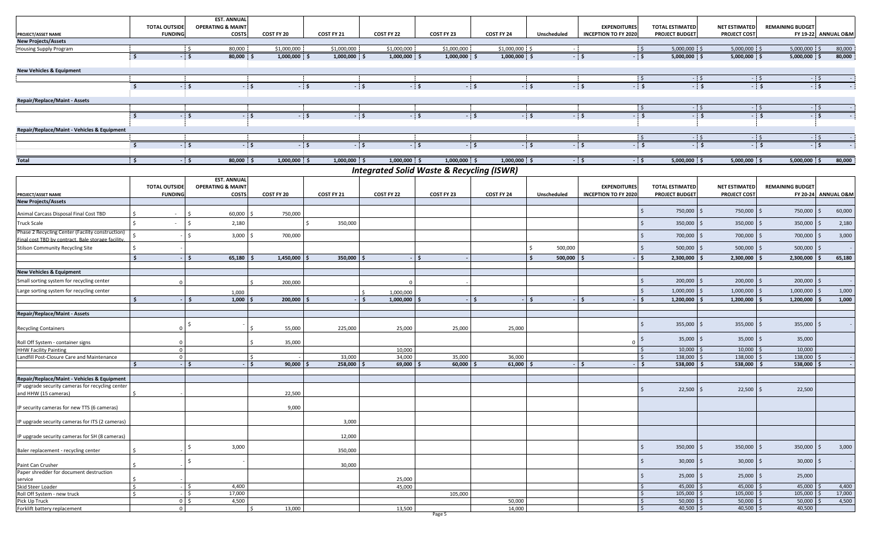|                                                                                                        | <b>TOTAL OUTSIDE</b>      | <b>EST. ANNUAL</b><br><b>OPERATING &amp; MAINT</b> |                              |                |                                                      |                |                |                         | <b>EXPENDITURES</b>         | <b>TOTAL ESTIMATED</b>              | <b>NET ESTIMATED</b> | <b>REMAINING BUDGET</b> |                       |
|--------------------------------------------------------------------------------------------------------|---------------------------|----------------------------------------------------|------------------------------|----------------|------------------------------------------------------|----------------|----------------|-------------------------|-----------------------------|-------------------------------------|----------------------|-------------------------|-----------------------|
| PROJECT/ASSET NAME                                                                                     | <b>FUNDING</b>            | <b>COSTS</b>                                       | COST FY 20                   | COST FY 21     | COST FY 22                                           | COST FY 23     | COST FY 24     | Unscheduled             | <b>INCEPTION TO FY 2020</b> | <b>PROJECT BUDGET</b>               | <b>PROJECT COST</b>  |                         | FY 19-22 ANNUAL O&M   |
| <b>New Projects/Assets</b>                                                                             |                           |                                                    |                              |                |                                                      |                |                |                         |                             |                                     |                      |                         |                       |
| Housing Supply Program                                                                                 |                           | 80.000<br>' \$                                     | \$1,000,000                  | \$1,000,000    | \$1,000,000                                          | \$1,000,000    | \$1,000,000 \$ |                         |                             | $\mathsf{S}$<br>5,000,000 \$        | $5,000,000$ \$       | 5,000,000 \$            | 80,000                |
|                                                                                                        | <b>S</b>                  | $-5$<br>80,000 \$                                  | $1,000,000$ \$               | $1,000,000$ \$ | $1,000,000$ \$                                       | 1,000,000 \$   | 1,000,000 \$   |                         | $-5$<br>$-5$                | $5,000,000$ \$                      | $5,000,000$ \$       | $5,000,000$ \$          | 80,000                |
| <b>New Vehicles &amp; Equipment</b>                                                                    |                           |                                                    |                              |                |                                                      |                |                |                         |                             |                                     |                      |                         |                       |
|                                                                                                        |                           |                                                    |                              |                |                                                      |                |                |                         |                             | 5<br>$-5$                           |                      | $-5$                    | $-5$                  |
|                                                                                                        | \$                        | - \$                                               | - \$<br>$-5$                 |                | $-5$                                                 | $-5$           | $-5$           | $-5$                    | $-5$<br>$-5$                | $-5$                                |                      | $-5$                    | $-$ \$                |
|                                                                                                        |                           |                                                    |                              |                |                                                      |                |                |                         |                             |                                     |                      |                         |                       |
| Repair/Replace/Maint - Assets                                                                          |                           |                                                    |                              |                |                                                      |                |                |                         |                             |                                     |                      |                         |                       |
|                                                                                                        | 5                         | <b>S</b>                                           | $\frac{1}{\sqrt{2}}$<br>- \$ |                | $-5$                                                 | $\frac{1}{s}$  | $-5$           | $-5$                    | $-5$<br>$-5$                | $-5$<br>: \$<br>$-5$                |                      | $-5$<br>$-5$            | $-5$<br>$-$ \$        |
|                                                                                                        |                           |                                                    |                              |                |                                                      |                |                |                         |                             |                                     |                      |                         |                       |
| Repair/Replace/Maint - Vehicles & Equipment                                                            |                           |                                                    |                              |                |                                                      |                |                |                         |                             |                                     |                      |                         |                       |
|                                                                                                        |                           |                                                    |                              |                |                                                      |                |                |                         |                             | $\mathsf{S}$<br>$-5$                |                      | $-5$                    | $-5$                  |
|                                                                                                        | $\mathsf{S}$              | $-5$                                               | $-5$<br>$-5$                 |                | $-5$                                                 | $-5$           | $-5$           | $-5$                    | $-5$<br>$-5$                | $-5$                                |                      | $-5$                    | $-5$                  |
| <b>Total</b>                                                                                           | - \$                      | $\frac{1}{\sqrt{2}}$<br>$80,000$ \$                | $1,000,000$ \$               | $1,000,000$ \$ | $1,000,000$ \$                                       | $1,000,000$ \$ | $1,000,000$ \$ |                         | $-5$<br>$-5$                | $5,000,000$ \$                      | $5,000,000$ \$       | $5,000,000$ \$          | 80,000                |
|                                                                                                        |                           |                                                    |                              |                |                                                      |                |                |                         |                             |                                     |                      |                         |                       |
|                                                                                                        |                           |                                                    |                              |                | <b>Integrated Solid Waste &amp; Recycling (ISWR)</b> |                |                |                         |                             |                                     |                      |                         |                       |
|                                                                                                        | <b>TOTAL OUTSIDE</b>      | <b>EST. ANNUAL</b><br><b>OPERATING &amp; MAINT</b> |                              |                |                                                      |                |                |                         | <b>EXPENDITURES</b>         | <b>TOTAL ESTIMATED</b>              | <b>NET ESTIMATED</b> | <b>REMAINING BUDGET</b> |                       |
| PROJECT/ASSET NAME                                                                                     | <b>FUNDING</b>            | COSTS                                              | COST FY 20                   | COST FY 21     | COST FY 22                                           | COST FY 23     | COST FY 24     | Unscheduled             | <b>INCEPTION TO FY 2020</b> | <b>PROJECT BUDGET</b>               | PROJECT COS'         | FY 20-24                | <b>ANNUAL O&amp;M</b> |
| <b>New Projects/Assets</b>                                                                             |                           |                                                    |                              |                |                                                      |                |                |                         |                             |                                     |                      |                         |                       |
|                                                                                                        |                           |                                                    |                              |                |                                                      |                |                |                         |                             | $\mathsf{S}$<br>750,000 \$          | 750,000 \$           | 750,000                 | 60,000<br>I S         |
| Animal Carcass Disposal Final Cost TBD                                                                 | $\sim$                    | 60,000                                             | 750,000                      |                |                                                      |                |                |                         |                             |                                     |                      |                         |                       |
| <b>Truck Scale</b>                                                                                     | $\sim$                    | 2,180                                              |                              | 350,000        |                                                      |                |                |                         |                             | \$<br>350,000 \$                    | 350,000              | 350,000                 | 2,180                 |
| Phase 2 Recycling Center (Facility construction)<br>Final cost TBD by contract. Bale storage facility. | \$                        | $3,000$ \$                                         | 700,000                      |                |                                                      |                |                |                         |                             | $\mathsf{\hat{S}}$<br>700,000 \$    | 700,000              | 700,000                 | 3,000<br>l \$         |
| <b>Stilson Community Recycling Site</b>                                                                | $\sqrt{5}$                |                                                    |                              |                |                                                      |                |                | $\mathsf{S}$<br>500,000 |                             | 500,000<br>Ŝ.<br>IS.                | 500,000              | $500,000$ \$            |                       |
|                                                                                                        | $\mathsf{S}$              | 65,180                                             | 1,450,000                    | 350,000        |                                                      |                |                | 500,000                 |                             | 2,300,000                           | 2,300,000            | 2,300,000               | 65,180                |
|                                                                                                        |                           |                                                    |                              |                |                                                      |                |                |                         |                             |                                     |                      |                         |                       |
| <b>New Vehicles &amp; Equipment</b>                                                                    |                           |                                                    |                              |                |                                                      |                |                |                         |                             |                                     |                      |                         |                       |
| Small sorting system for recycling center                                                              |                           |                                                    | 200,000                      |                |                                                      |                |                |                         |                             | 200,000<br>$\zeta$<br>١s            | 200,000              | 200,000                 |                       |
| Large sorting system for recycling center                                                              |                           | 1,000                                              |                              |                | 1.000.000                                            |                |                |                         |                             | 1,000,000                           | 1,000,000            | 1,000,000               | 1,000                 |
|                                                                                                        | $\mathsf{S}$              | 1,000                                              | 200,000                      |                | 1,000,000                                            |                |                |                         |                             | 1,200,000                           | 1,200,000            | 1,200,000               | 1,000                 |
| Repair/Replace/Maint - Assets                                                                          |                           |                                                    |                              |                |                                                      |                |                |                         |                             |                                     |                      |                         |                       |
|                                                                                                        |                           |                                                    |                              |                |                                                      |                |                |                         |                             | $355,000$ \$<br>Ŝ.                  | 355,000              | 355,000                 |                       |
| <b>Recycling Containers</b>                                                                            | $\mathbf 0$               |                                                    | 55,000                       | 225,000        | 25,000                                               | 25,000         | 25,000         |                         |                             |                                     |                      |                         |                       |
|                                                                                                        |                           |                                                    |                              |                |                                                      |                |                |                         |                             | $35,000$ \$                         | 35,000               | 35,000                  |                       |
| Roll Off System - container signs<br><b>HHW Facility Painting</b>                                      | $\sqrt{ }$<br>$\mathbf 0$ |                                                    | 35,000                       |                | 10,000                                               |                |                |                         |                             | 10,000                              | 10,000               | 10,000                  |                       |
| Landfill Post-Closure Care and Maintenance                                                             | $\mathbf 0$               |                                                    | $\zeta$                      | 33,000         | 34,000                                               | 35,000         | 36,000         |                         |                             | 138,000<br>Ŝ.                       | 138,000 \$           | 138,000                 |                       |
|                                                                                                        | <b>S</b>                  |                                                    | 90,000<br>. ا -              | 258,000        | 69,000                                               | 60,000         | 61,000         |                         | - Ś                         | s.<br>$538,000$ \$                  | 538,000              | 538,000<br><b>&lt;</b>  |                       |
|                                                                                                        |                           |                                                    |                              |                |                                                      |                |                |                         |                             |                                     |                      |                         |                       |
| Repair/Replace/Maint - Vehicles & Equipment<br>IP upgrade security cameras for recycling center        |                           |                                                    |                              |                |                                                      |                |                |                         |                             |                                     |                      |                         |                       |
| and HHW (15 cameras)                                                                                   |                           |                                                    | 22,500                       |                |                                                      |                |                |                         |                             | $22,500$ \$                         | $22,500$ \$          | 22,500                  |                       |
|                                                                                                        |                           |                                                    |                              |                |                                                      |                |                |                         |                             |                                     |                      |                         |                       |
| IP security cameras for new TTS (6 cameras)                                                            |                           |                                                    | 9,000                        |                |                                                      |                |                |                         |                             |                                     |                      |                         |                       |
| IP upgrade security cameras for ITS (2 cameras)                                                        |                           |                                                    |                              | 3,000          |                                                      |                |                |                         |                             |                                     |                      |                         |                       |
|                                                                                                        |                           |                                                    |                              |                |                                                      |                |                |                         |                             |                                     |                      |                         |                       |
| IP upgrade security cameras for SH (8 cameras)                                                         |                           |                                                    |                              | 12,000         |                                                      |                |                |                         |                             |                                     |                      |                         |                       |
| Baler replacement - recycling center                                                                   | Ŝ.                        | 3,000                                              |                              | 350,000        |                                                      |                |                |                         |                             | Ŝ.<br>350,000 \$                    | 350,000 \$           | $350,000$ \$            | 3,000                 |
|                                                                                                        |                           |                                                    |                              |                |                                                      |                |                |                         |                             | $30,000$ \$<br>Ŝ.                   | $30,000$ \$          | $30,000$ \$             |                       |
| Paint Can Crusher                                                                                      |                           |                                                    |                              | 30,000         |                                                      |                |                |                         |                             |                                     |                      |                         |                       |
| Paper shredder for document destruction<br>service                                                     | I\$                       |                                                    |                              |                | 25,000                                               |                |                |                         |                             | $25,000$ \$<br>\$                   | $25,000$ \$          | 25,000                  |                       |
| Skid Steer Loader                                                                                      | $\sqrt{5}$                | 4,400                                              |                              |                | 45,000                                               |                |                |                         |                             | $45,000$ \$<br>\$                   | $45,000$ \$          | $45,000$ \$             | 4,400                 |
| Roll Off System - new truck                                                                            | l\$                       | 17,000                                             |                              |                |                                                      | 105,000        |                |                         |                             | $105,000$ \$<br>$\ddot{\mathsf{S}}$ | $105,000$ \$         | 105,000                 | 17,000                |
| Pick Up Truck                                                                                          |                           | 4,500<br>$0 \mid \zeta$                            |                              |                |                                                      |                | 50,000         |                         |                             | $50,000$ \$<br>\$                   | $50,000$ \$          | $50,000$ \$             | 4,500                 |
| Forklift battery replacement                                                                           | $\mathbf 0$               |                                                    | 13,000<br>-S                 |                | 13,500                                               |                | 14,000         |                         |                             | $40,500$ \$<br>Ŝ.                   | $40,500$ \$          | 40,500                  |                       |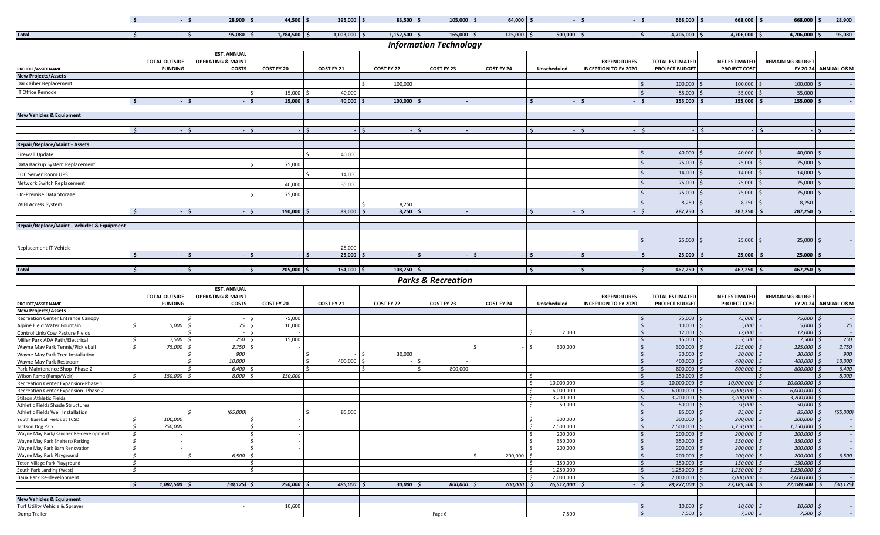|              | $28,900$ \$ | $44,500$ \$    | $395,000$ \$   | $83,500$ $\frac{1}{5}$ | $105,000$   \$ | 64,000  |             | 668,000               | $668,000$ \ \; | 668,000 \$     | 28.900 |
|--------------|-------------|----------------|----------------|------------------------|----------------|---------|-------------|-----------------------|----------------|----------------|--------|
|              |             |                |                |                        |                |         |             |                       |                |                |        |
| <b>Total</b> | $95,080$ ,  | $1,784,500$ \$ | $1,003,000$ \$ | $1,152,500$ \$         | $165,000$ \$   | 125,000 | $500,000$ > | $4,706,000$ $\mid$ \$ | 1,706,000      | $4,706,000$ \$ | 95,080 |

## *Information Technology*

|                                             | <b>TOTAL OUTSIDE</b> | <b>EST. ANNUAL</b><br><b>OPERATING &amp; MAINT</b> |                       |              |              |            |            |             | <b>EXPENDITURES</b>         | <b>TOTAL ESTIMATED</b> | <b>NET ESTIMATED</b> | <b>REMAINING BUDGET</b> |                     |
|---------------------------------------------|----------------------|----------------------------------------------------|-----------------------|--------------|--------------|------------|------------|-------------|-----------------------------|------------------------|----------------------|-------------------------|---------------------|
| <b>PROJECT/ASSET NAME</b>                   | <b>FUNDING</b>       | <b>COSTS</b>                                       | COST FY 20            | COST FY 21   | COST FY 22   | COST FY 23 | COST FY 24 | Unscheduled | <b>INCEPTION TO FY 2020</b> | <b>PROJECT BUDGET</b>  | <b>PROJECT COST</b>  |                         | FY 20-24 ANNUAL O&M |
| <b>New Projects/Assets</b>                  |                      |                                                    |                       |              |              |            |            |             |                             |                        |                      |                         |                     |
| Dark Fiber Replacement                      |                      |                                                    |                       |              | 100,000      |            |            |             |                             | 100,000                | 100,000              | 100,000                 |                     |
| IT Office Remodel                           |                      |                                                    | 15,000                | 40,000       |              |            |            |             |                             | 55,000                 | 55,000 \$            | 55,000                  |                     |
|                                             |                      |                                                    | 15,000                | 40,000       | 100,000      |            |            |             | I <                         | 155,000                | 155,000              | 155,000                 |                     |
| <b>New Vehicles &amp; Equipment</b>         |                      |                                                    |                       |              |              |            |            |             |                             |                        |                      |                         |                     |
|                                             |                      |                                                    |                       |              |              |            |            |             |                             |                        |                      |                         |                     |
|                                             |                      |                                                    |                       |              |              |            |            |             | ∣ Ś.                        |                        |                      | s.                      |                     |
|                                             |                      |                                                    |                       |              |              |            |            |             |                             |                        |                      |                         |                     |
| <b>Repair/Replace/Maint - Assets</b>        |                      |                                                    |                       |              |              |            |            |             |                             |                        |                      |                         |                     |
| <b>Firewall Update</b>                      |                      |                                                    |                       | 40,000       |              |            |            |             |                             | 40,000                 | 40,000<br>-S         | 40,000                  |                     |
| Data Backup System Replacement              |                      |                                                    | 75,000                |              |              |            |            |             |                             | 75,000                 | 75,000               | 75,000                  |                     |
| <b>EOC Server Room UPS</b>                  |                      |                                                    |                       | 14,000       |              |            |            |             |                             | 14,000                 | 14,000               | 14,000                  |                     |
| Network Switch Replacement                  |                      |                                                    | 40,000                | 35,000       |              |            |            |             |                             | 75,000                 | 75,000               | 75,000                  |                     |
| On-Premise Data Storage                     |                      |                                                    | 75,000                |              |              |            |            |             |                             | 75,000                 | 75,000               | 75,000                  |                     |
| <b>WIFI Access System</b>                   |                      |                                                    |                       |              | 8,250        |            |            |             |                             | 8,250                  | 8,250                | 8,250                   |                     |
|                                             | ¢                    |                                                    | 190,000               | 89,000       | 8,250        |            |            |             |                             | 287,250                | 287,250              | 287,250                 |                     |
| Repair/Replace/Maint - Vehicles & Equipment |                      |                                                    |                       |              |              |            |            |             |                             |                        |                      |                         |                     |
|                                             |                      |                                                    |                       |              |              |            |            |             |                             |                        |                      |                         |                     |
|                                             |                      |                                                    |                       |              |              |            |            |             |                             | $25,000$ \$            | $25,000$ \$          | 25,000                  |                     |
| Replacement IT Vehicle                      |                      |                                                    |                       | 25,000       |              |            |            |             |                             |                        |                      |                         |                     |
|                                             | \$.                  | ∣ \$∶                                              |                       | 25,000       |              |            |            |             |                             | 25,000<br>$\mathsf{I}$ | $25,000$ \$          | 25,000                  |                     |
|                                             |                      |                                                    |                       |              |              |            |            |             |                             |                        |                      |                         |                     |
| <b>Total</b>                                |                      |                                                    | $205,000$ \$<br>$-15$ | $154,000$ \$ | $108,250$ \$ |            |            |             | $-1$ \$                     | $467,250$ \$           | $467,250$ \$         | $467,250$ \$            |                     |

*Parks & Recreation*

|                                          |                      | <b>EST. ANNUAL</b>           |            |            |            |            |            |             |                             |                        |                      |                         |                                |
|------------------------------------------|----------------------|------------------------------|------------|------------|------------|------------|------------|-------------|-----------------------------|------------------------|----------------------|-------------------------|--------------------------------|
|                                          | <b>TOTAL OUTSIDE</b> | <b>OPERATING &amp; MAINT</b> |            |            |            |            |            |             | <b>EXPENDITURES</b>         | <b>TOTAL ESTIMATED</b> | <b>NET ESTIMATED</b> | <b>REMAINING BUDGET</b> |                                |
| <b>PROJECT/ASSET NAME</b>                | <b>FUNDING</b>       | COSTS                        | COST FY 20 | COST FY 21 | COST FY 22 | COST FY 23 | COST FY 24 | Unscheduled | <b>INCEPTION TO FY 2020</b> | <b>PROJECT BUDGET</b>  | <b>PROJECT COST</b>  |                         | <b>FY 20-24 ANNUAL O&amp;M</b> |
| <b>New Projects/Assets</b>               |                      |                              |            |            |            |            |            |             |                             |                        |                      |                         |                                |
| <b>Recreation Center Entrance Canopy</b> |                      |                              | 75,000     |            |            |            |            |             |                             | $75,000$ $\sqrt{5}$    | 75,000 \$            | 75,000                  |                                |
| Alpine Field Water Fountain              | 5,000                | 75S                          | 10,000     |            |            |            |            |             |                             | 10,000                 | 5,000                | 5,000                   | 75                             |
| Control Link/Cow Pasture Fields          |                      |                              |            |            |            |            |            | 12,000      |                             | $12,000$ $\frac{1}{2}$ | $12,000$ \$          | 12,000                  |                                |
| Miller Park ADA Path/Electrical          | 7,500                | 250S                         | 15,000     |            |            |            |            |             |                             | $15,000$ $\sqrt{5}$    | $7,500$ \$           | 7,500                   | 250                            |
| Wayne May Park Tennis/Pickleball         | 75,000               | 2,750                        |            |            |            |            |            | 300,000     |                             | $300,000$ \$           | 225,000              | 225,000                 | 2,750                          |
| Wavne May Park Tree Installation         |                      | 900                          |            |            | 30.000     |            |            |             |                             | $30,000$ $\sqrt{5}$    | 30,000               | 30,000                  | 900                            |
| Wayne May Park Restroom                  |                      | 10.000                       |            | 400.000    |            |            |            |             |                             | $400.000$ \$           | 400.000 \$           | 400,000                 | 10,000                         |
| Park Maintenance Shop-Phase 2            |                      | 6.400                        |            |            |            | 800,000    |            |             |                             | 800,000 \$             | 800,000              | 800,000                 | 6,400                          |
| Wilson Ramp (Ramp/Weir)                  | 150,000              | 8,000                        | 150,000    |            |            |            |            |             |                             | $150,000$ \$           |                      |                         | 8,000                          |
| Recreation Center Expansion-Phase 1      |                      |                              |            |            |            |            |            | 10,000,000  |                             | 10,000,000 \$          | 10,000,000 \$        | 10,000,000              |                                |
| Recreation Center Expansion- Phase 2     |                      |                              |            |            |            |            |            | 6,000,000   |                             | $6,000,000$ \$         | 6,000,000            | 6,000,000               |                                |
| <b>Stilson Athletic Fields</b>           |                      |                              |            |            |            |            |            | 3,200,000   |                             | $3,200,000$ $\sqrt{5}$ | 3,200,000            | 3,200,000               |                                |
| Athletic Fields Shade Structures         |                      |                              |            |            |            |            |            | 50,000      |                             | $50,000$ \$            | $50,000$ \$          | 50,000                  |                                |
| Athletic Fields Well Installation        |                      | (65,000)                     |            | 85,000     |            |            |            |             |                             | 85,000 \$              | 85,000               | 85,000                  | (65,000)                       |
| Youth Baseball Fields at TCSD            | 100,000              |                              |            |            |            |            |            | 300.000     |                             | $300,000$ \$           | 200,000              | 200,000                 |                                |
| Jackson Dog Park                         | 750.000              |                              |            |            |            |            |            | 2,500,000   |                             | $2,500,000$ \$         | 1,750,000            | 1,750,000               |                                |
| Wayne May Park/Rancher Re-development    |                      |                              |            |            |            |            |            | 200,000     |                             | $200,000$ \$           | $200,000$ \$         | 200,000                 |                                |
| Wayne May Park Shelters/Parking          |                      |                              |            |            |            |            |            | 350,000     |                             | 350,000 \$             | 350.000              | 350,000                 |                                |
| Wayne May Park Barn Renovation           |                      |                              |            |            |            |            |            | 200,000     |                             | $200,000$ \$           | 200,000              | 200,000                 |                                |
| Wayne May Park Playground                |                      | 6,500                        |            |            |            |            | 200,000 \$ |             |                             | $200,000$ \$           | 200,000 \$           | 200,000                 | 6,500                          |
| Teton Village Park Playground            |                      |                              |            |            |            |            |            | 150,000     |                             | $150,000$ \$           | 150,000              | 150,000                 |                                |
| South Park Landing (West)                |                      |                              |            |            |            |            |            | 1,250,000   |                             | $1,250,000$ \$         | 1,250,000            | 1,250,000               |                                |
| <b>Baux Park Re-development</b>          |                      |                              |            |            |            |            |            | 2,000,000   |                             | $2,000,000$ $\mid$ \$  | $2,000,000$ \$       | 2,000,000               |                                |
|                                          | 1,087,500            | $(30, 125)$ \$               | 250.000    | 485,000    | 30.000     | 800.000    | 200,000    | 26,512,000  |                             | 28,277,000             | 27,189,500           | 27,189,500              | (30, 125)                      |
| <b>New Vehicles &amp; Equipment</b>      |                      |                              |            |            |            |            |            |             |                             |                        |                      |                         |                                |
| Turf Utility Vehicle & Sprayer           |                      |                              | 10,600     |            |            |            |            |             |                             | $10,600$ $\sqrt{5}$    | $10,600$ \$          | 10,600                  |                                |
| Dump Trailer                             |                      |                              |            |            |            | Page 6     |            | 7.500       |                             | $7,500$ \$             | $7,500$ \$           | $7,500$ .               |                                |
|                                          |                      |                              |            |            |            |            |            |             |                             |                        |                      |                         |                                |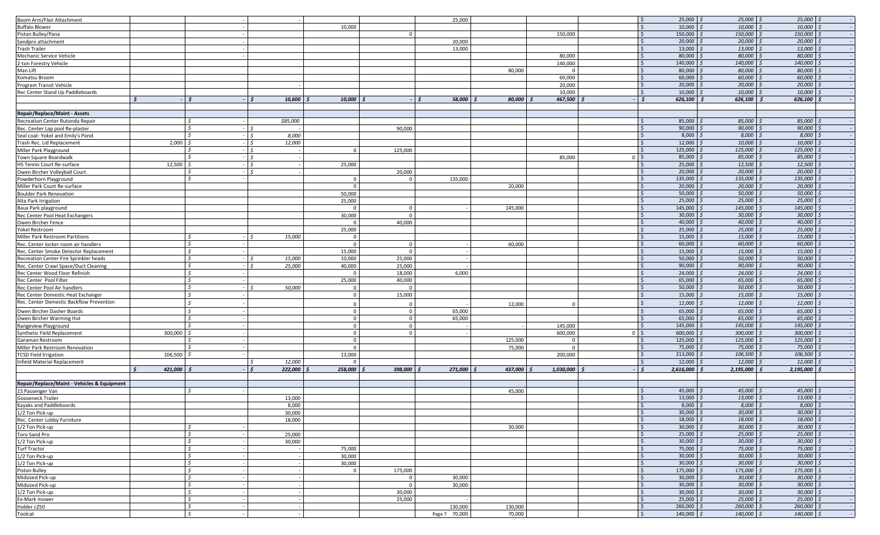| Boom Arm/Flair Attachment                   |                   |                    |                |                |                          |                   |           | -Ś                        | 25,000                  | $25,000$ \$                  | $25,000$ \$              |  |
|---------------------------------------------|-------------------|--------------------|----------------|----------------|--------------------------|-------------------|-----------|---------------------------|-------------------------|------------------------------|--------------------------|--|
|                                             |                   |                    |                |                | 25,000                   |                   |           |                           |                         |                              |                          |  |
| <b>Buffalo Blower</b>                       |                   |                    | 10,000         |                |                          |                   |           | l \$                      | 10,000                  | $10,000$ \$                  | $10,000$ \$              |  |
| Piston Bulley/Pana                          |                   |                    |                | $\circ$        |                          |                   | 150,000   | I\$                       | 150,000                 | 150,000 \$                   | $150,000$ \$             |  |
| Sandpro attachment                          |                   |                    |                |                | 20,000                   |                   |           | -Ś                        | 20,000                  | $20,000$ \$                  | $20,000$ \$              |  |
|                                             |                   |                    |                |                |                          |                   |           |                           |                         |                              |                          |  |
| Trash Trailer                               |                   |                    |                |                | 13,000                   |                   |           | l S                       | 13,000                  | $13,000$ \$                  | $13,000$ \$              |  |
| Mechanic Service Vehicle                    |                   |                    |                |                |                          |                   | 80,000    |                           | 80,000                  | 80,000                       | 80,000 \$                |  |
| 2-ton Forestry Vehicle                      |                   |                    |                |                |                          |                   | 140,000   | l S                       | 140,000                 | $140,000$ \$                 | 140,000 \$               |  |
| Man Lift                                    |                   |                    |                |                |                          | 80,000            | $\Omega$  | $\mathsf{S}$              | 80,000                  | 80,000                       | 80,000 \$                |  |
|                                             |                   |                    |                |                |                          |                   |           |                           |                         |                              |                          |  |
| Komatsu Broom                               |                   |                    |                |                |                          |                   | 60,000    |                           | 60,000                  | $60,000$ \$                  | $60,000$ \$              |  |
| Program Transit Vehicle                     |                   |                    |                |                |                          |                   | 20,000    |                           | 20,000                  | 20,000                       | 20,000 \$                |  |
| Rec Center Stand Up Paddleboards            |                   |                    |                |                |                          |                   | 10,000    | l S                       | 10,000                  | 10,000                       | $10,000$ \$              |  |
|                                             | $\leq$            |                    |                |                |                          |                   |           |                           |                         |                              |                          |  |
|                                             |                   | $10,600$ \$<br>l s | $10,000$ \$    |                | 58,000                   | 80,000            | 467,500   | $\mathsf{S}$              | 626,100                 | 626,100                      | $626,100$ \$             |  |
|                                             |                   |                    |                |                |                          |                   |           |                           |                         |                              |                          |  |
| <b>Repair/Replace/Maint - Assets</b>        |                   |                    |                |                |                          |                   |           |                           |                         |                              |                          |  |
|                                             |                   | \$85,000           |                |                |                          |                   |           |                           | 85,000                  | 85,000                       | 85,000 \$                |  |
| Recreation Center Rutonda Repair            |                   |                    |                |                |                          |                   |           |                           |                         |                              |                          |  |
| Rec. Center Lap pool Re-plaster             |                   | IS.                |                | 90,000         |                          |                   |           | -S                        | 90,000                  | 90,000                       | $90,000$ \$              |  |
| Seal coat-Yokel and Emily's Pond            |                   | 8,000              |                |                |                          |                   |           |                           | 8,000                   | 8,000                        | $8,000$ \$               |  |
| Trash Rec. Lid Replacement                  | 2,000             | 12,000             |                |                |                          |                   |           |                           | 12,000                  | 10,000                       | $10,000$ \$              |  |
|                                             |                   | - 15               |                |                |                          |                   |           | ∣ \$                      |                         |                              |                          |  |
| Miller Park Playground                      |                   |                    | $\overline{0}$ | 125,000        |                          |                   |           |                           | 125,000                 | 125,000                      | $125,000$ \$             |  |
| Town Square Boardwalk                       |                   | $ \zeta$           |                |                |                          |                   | 85,000    | 0 <sup>5</sup>            | 85,000                  | 85,000                       | $85,000$ \$              |  |
| HS Tennis Court Re-surface                  | 12,500            | - I S              | 25,000         |                |                          |                   |           |                           | 25,000                  | 12,500                       | $12,500$ \$              |  |
| Owen Bircher Volleyball Court               |                   | $\leq$             |                | 20,000         |                          |                   |           |                           | 20,000                  | $20,000$ \$                  | $20,000$ \$              |  |
|                                             |                   |                    |                |                |                          |                   |           |                           |                         |                              |                          |  |
| Powderhorn Playground                       |                   |                    | $\overline{0}$ | $\mathbf 0$    | 135,000                  |                   |           | l \$                      | 135,000                 | $135,000$ \$                 | $135,000$ \$             |  |
| Miller Park Court Re-surface                |                   |                    | $\overline{0}$ |                |                          | 20,000            |           | l\$                       | 20,000                  | 20,000                       | $20,000$ \$              |  |
| <b>Boulder Park Renovation</b>              |                   |                    | 50,000         |                |                          |                   |           | l S                       | 50,000                  | $50,000$ \$                  | $50,000$ \$              |  |
|                                             |                   |                    |                |                |                          |                   |           |                           | 25,000                  | $25,000$ \$                  | $25,000$ \$              |  |
| Alta Park Irrigation                        |                   |                    | 25,000         |                |                          |                   |           | l\$                       |                         |                              |                          |  |
| Baux Park playground                        |                   |                    | $\Omega$       | $\mathbf 0$    |                          | 145,000           |           | S.                        | 145,000                 | 145,000                      | 145,000 \$               |  |
| Rec Center Pool Heat Exchangers             |                   |                    | 30,000         | $\mathbf{0}$   |                          |                   |           | l S                       | 30,000                  | 30,000                       | $30,000$ \$              |  |
|                                             |                   |                    | $\Omega$       | 40,000         |                          |                   |           | l S                       | 40,000                  | 40,000                       | $40,000$ \$              |  |
| Owen Bircher Fence                          |                   |                    |                |                |                          |                   |           |                           |                         |                              |                          |  |
| Yokel Restroom                              |                   |                    | 25,000         |                |                          |                   |           |                           | 25,000                  | $25,000$ \$                  | $25,000$ \$              |  |
| Miller Park Restroom Partitions             |                   | 15,000             | $\overline{0}$ |                |                          |                   |           |                           | 15,000                  | $15,000$ \$                  | 15,000 \$                |  |
| Rec. Center locker room air handlers        |                   |                    | $\mathbf 0$    | $\overline{0}$ |                          | 60,000            |           | l S                       | 60,000                  | 60,000                       | $60,000$ \$              |  |
|                                             |                   |                    |                |                |                          |                   |           |                           |                         |                              |                          |  |
| Rec. Center Smoke Detector Replacement      |                   |                    | 15.000         | $\mathbf{0}$   |                          |                   |           |                           | 15,000                  | 15,000                       | 15,000 \$                |  |
| Recreation Center Fire Sprinkler heads      |                   | 15,000             | 10,000         | 25,000         |                          |                   |           |                           | 50,000                  | 50,000                       | 50,000 \$                |  |
| Rec. Center Crawl Space/Duct Cleaning       |                   | 25,000<br>l S      | 40,000         | 25,000         |                          |                   |           | -Ś                        | 90,000                  | 90,000                       | $90,000$ \$              |  |
|                                             |                   |                    | $\Omega$       |                |                          |                   |           |                           | 24,000                  | 24,000                       | $24,000$ \$              |  |
| Rec Center Wood Floor Refinish              |                   |                    |                | 18,000         | 6,000                    |                   |           |                           |                         |                              |                          |  |
| Rec Center Pool Filter                      |                   |                    | 25,000         | 40,000         |                          |                   |           | -S                        | 65,000                  | 65,000                       | 65,000 \$                |  |
| Rec Center Pool Air handlers                |                   | 50,000             | $\mathbf 0$    | $\Omega$       |                          |                   |           |                           | 50,000                  | 50,000                       | $50,000$ \$              |  |
|                                             |                   |                    | $\overline{0}$ | 15,000         |                          |                   |           |                           | 15,000                  | 15,000                       | $15,000$ \$              |  |
| Rec Center Domestic Heat Exchanger          |                   |                    |                |                |                          |                   |           |                           |                         |                              |                          |  |
| Rec. Center Domestic Backflow Prevention    |                   |                    | $\Omega$       | $\Omega$       |                          | 12,000            | $\Omega$  |                           | 12,000                  | 12,000                       | $12,000 \leq$            |  |
| Owen Bircher Dasher Boards                  |                   |                    | $\mathbf{0}$   | $\mathbf 0$    | 65,000                   |                   |           |                           | 65,000                  | 65,000                       | 65,000 \$                |  |
|                                             |                   |                    |                |                |                          |                   |           |                           |                         |                              |                          |  |
|                                             |                   |                    |                |                |                          |                   |           |                           | 65,000                  | 65,000                       | 65,000 \$                |  |
| Owen Bircher Warming Hut                    |                   |                    | $\overline{0}$ | $\mathbf{0}$   | 65,000                   |                   |           |                           |                         |                              |                          |  |
|                                             |                   |                    | $\overline{0}$ | $\overline{0}$ |                          |                   | 145,000   | l s                       | 145,000                 | 145,000                      | 145,000 \$               |  |
| Rangeview Playground                        |                   |                    |                |                |                          |                   |           |                           |                         |                              |                          |  |
| Synthetic Field Replacement                 | 300,000           |                    | $\overline{0}$ | $\circ$        |                          |                   | 600,000   | $0 \mid 5$                | 600,000                 | 300,000                      | $300,000$ \$             |  |
| Garaman Restroom                            |                   |                    | $\mathbf 0$    |                |                          | 125,000           | $\Omega$  | l S                       | 125,000                 | $125,000$ \$                 | $125,000$ \$             |  |
| Miller Park Restroom Renovation             |                   |                    | $\overline{0}$ |                |                          | 75,000            | $\Omega$  | l \$                      | 75,000                  | 75,000 \$                    | 75,000 \$                |  |
|                                             |                   |                    |                |                |                          |                   |           |                           |                         |                              |                          |  |
| <b>TCSD Field Irrigation</b>                | 106,500           |                    | 13,000         |                |                          |                   | 200,000   |                           | 213,000                 | 106,500                      | $106,500$ \$             |  |
| <b>Infield Material Replacement</b>         |                   | 12,000             | $\mathbf{0}$   |                |                          |                   |           |                           | 12,000                  | $12,000$ \$                  | $12,000$ \$              |  |
|                                             | 421,000<br>$\leq$ | $-15$<br>222,000   | 258,000        | 398,000 \$     | 271,000                  | 437,000           | 1,030,000 | $-15$                     | 2,616,000               | 2,195,000                    | $2,195,000$ \$           |  |
|                                             |                   |                    |                |                |                          |                   |           |                           |                         |                              |                          |  |
|                                             |                   |                    |                |                |                          |                   |           |                           |                         |                              |                          |  |
| Repair/Replace/Maint - Vehicles & Equipment |                   |                    |                |                |                          |                   |           |                           |                         |                              |                          |  |
| 15 Passenger Van                            |                   |                    |                |                |                          | 45,000            |           |                           | 45,000                  | 45,000                       | 45,000                   |  |
| Gooseneck Trailer                           |                   | 13,000             |                |                |                          |                   |           |                           | 13,000                  | 13,000                       | 13,000 \$                |  |
|                                             |                   |                    |                |                |                          |                   |           |                           |                         |                              |                          |  |
| Kayaks and Paddleboards                     |                   | 8,000              |                |                |                          |                   |           |                           | 8,000                   | $8,000$ \$                   | $8,000$ \$               |  |
| 1/2 Ton Pick-up                             |                   | 30,000             |                |                |                          |                   |           | Ŝ.                        | 30,000                  | $30,000$ \$                  | $30,000$ \$              |  |
| Rec. Center Lobby Furniture                 |                   | 18,000             |                |                |                          |                   |           | l\$                       | 18,000                  | $18,000$ \$                  | $18,000$ \$              |  |
| 1/2 Ton Pick-up                             |                   |                    |                |                |                          | 30,000            |           | S.                        | 30,000                  | $30,000$ \$                  | $30,000$ \$              |  |
|                                             |                   |                    |                |                |                          |                   |           |                           |                         |                              |                          |  |
| Toro Sand Pro                               |                   | 25,000             |                |                |                          |                   |           | $\ddot{\circ}$            | 25,000                  | $25,000$ \$                  | $25,000$ \$              |  |
| 1/2 Ton Pick-up                             |                   | 30,000             |                |                |                          |                   |           |                           | 30,000                  | $30,000$ \$                  | $30,000$ \$              |  |
| <b>Turf Tractor</b>                         |                   |                    | 75,000         |                |                          |                   |           | Ŝ.                        | 75,000                  | 75,000 \$                    | 75,000 \$                |  |
|                                             |                   |                    |                |                |                          |                   |           |                           |                         |                              |                          |  |
| 1/2 Ton Pick-up                             |                   |                    | 30,000         |                |                          |                   |           | $\mathsf{S}$              | 30,000                  | $30,000$ \$                  | $30,000$ \$              |  |
| 1/2 Ton Pick-up                             |                   |                    | 30,000         |                |                          |                   |           | l \$                      | 30,000                  | $30,000$ \$                  | $30,000$ \$              |  |
| Piston Bulley                               |                   |                    | $\Omega$       | 175,000        |                          |                   |           | $\mathsf{S}$              | 175,000                 | 175,000 \$                   | $175,000$ \$             |  |
| Midsized Pick-up                            |                   |                    |                | $\mathbf 0$    |                          |                   |           | $\mathsf{S}$              | 30,000                  | $30,000$ \$                  | $30,000$ \$              |  |
|                                             |                   |                    |                |                | 30,000                   |                   |           |                           |                         |                              |                          |  |
| Midsized Pick-up                            |                   |                    |                | $\mathbf 0$    | 30,000                   |                   |           | $\ddot{\circ}$            | 30,000                  | $30,000$ \$                  | $30,000$ \$              |  |
| 1/2 Ton Pick-up                             |                   |                    |                | 30,000         |                          |                   |           | $\frac{1}{2}$             | 30,000                  | $30,000$ \$                  | $30,000$ \$              |  |
| Ex-Mark mower                               |                   |                    |                | 25,000         |                          |                   |           | I\$                       | 25,000                  | $25,000$ \$                  | $25,000$ \$              |  |
|                                             |                   |                    |                |                |                          |                   |           |                           |                         |                              |                          |  |
| Holder c250<br>Toolcat                      |                   | \$                 |                |                | 130,000<br>Page 7 70,000 | 130,000<br>70,000 |           | $\frac{1}{2}$<br><b>S</b> | 260,000<br>$140,000$ \$ | $260,000$ \$<br>$140,000$ \$ | 260,000 \$<br>140,000 \$ |  |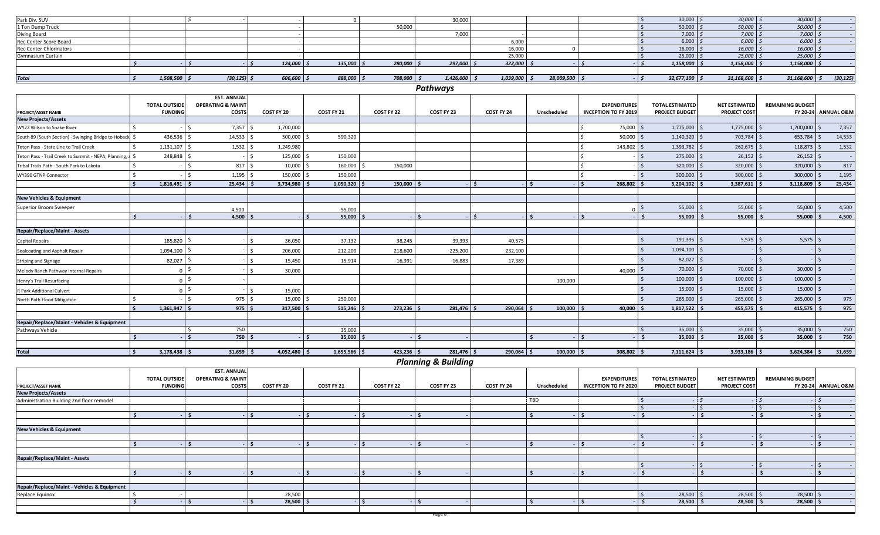| Park Div. SUV                                           |                       |                              |              | $\Omega$       |              | 30.000               |                      |               |                             | 30,000                  | $30,000$ $\degree$   | 30,000                  |                     |
|---------------------------------------------------------|-----------------------|------------------------------|--------------|----------------|--------------|----------------------|----------------------|---------------|-----------------------------|-------------------------|----------------------|-------------------------|---------------------|
| 1 Ton Dump Truck                                        |                       |                              |              |                | 50.000       |                      |                      |               |                             | 50,000                  | 50,000               | 50,000                  |                     |
| Diving Board                                            |                       |                              |              |                |              | 7,000                |                      |               |                             | 7,000                   | 7,000                | 7,000                   | $\sim$              |
| Rec Center Score Board                                  |                       |                              |              |                |              |                      | 6,000                |               |                             | 6,000                   | 6,000                | 6,000                   |                     |
| <b>Rec Center Chlorinators</b>                          |                       |                              |              |                |              |                      | 16,000               | $\Omega$      |                             | 16,000                  | 16,000               | 16,000                  |                     |
| <b>Gymnasium Curtain</b>                                |                       |                              |              |                |              |                      | 25,000               |               |                             | 25,000                  | 25,000               | 25,000                  |                     |
|                                                         | $\ddot{\phantom{1}}$  |                              | 124,000      | 135,000        | 280,000      | $297,000$ $\sqrt{5}$ | $322,000$ \$         |               |                             | 1,158,000               | 1,158,000            | 1,158,000               |                     |
|                                                         |                       |                              |              |                |              |                      |                      |               |                             |                         |                      |                         |                     |
| <b>Total</b>                                            | $1,508,500$ \$<br>l s | $(30, 125)$ \$               | $606,600$ \$ | 888,000 \$     | $708,000$ \$ | $1,426,000$ \$       | $1,039,000$ \$       | 28,009,500 \$ |                             | $32,677,100$ \$<br>$-5$ | $31,168,600$ \$      | 31,168,600              | (30, 125)           |
|                                                         |                       |                              |              |                |              | Pathways             |                      |               |                             |                         |                      |                         |                     |
|                                                         |                       | <b>EST. ANNUAL</b>           |              |                |              |                      |                      |               |                             |                         |                      |                         |                     |
|                                                         | <b>TOTAL OUTSIDE</b>  | <b>OPERATING &amp; MAINT</b> |              |                |              |                      |                      |               | <b>EXPENDITURES</b>         | <b>TOTAL ESTIMATED</b>  | <b>NET ESTIMATED</b> | <b>REMAINING BUDGET</b> |                     |
| PROJECT/ASSET NAME                                      | <b>FUNDING</b>        | <b>COSTS</b>                 | COST FY 20   | COST FY 21     | COST FY 22   | COST FY 23           | COST FY 24           | Unscheduled   | <b>INCEPTION TO FY 2019</b> | <b>PROJECT BUDGET</b>   | <b>PROJECT COST</b>  |                         | FY 20-24 ANNUAL O&M |
| <b>New Projects/Assets</b>                              |                       |                              |              |                |              |                      |                      |               |                             |                         |                      |                         |                     |
| WY22 Wilson to Snake River                              |                       | 7,357                        | 1,700,000    |                |              |                      |                      |               | 75,000                      | 1,775,000               | 1,775,000            | 1,700,000               | 7,357               |
| South 89 (South Section) - Swinging Bridge to Hoback \$ | 436,536               | 14,533                       | 500,000      | 590,320        |              |                      |                      |               | 50,000                      | 1,140,320               | 703,784              | 653,784                 | 14,533              |
| Teton Pass - State Line to Trail Creek                  | 1,131,107             | 1,532                        | 1,249,980    |                |              |                      |                      |               | 143,802                     | 1,393,782               | 262,675              | 118,873                 | 1,532               |
| Teton Pass - Trail Creek to Summit - NEPA, Planning, a  | 248,848               |                              | 125,000      | 150,000        |              |                      |                      |               |                             | 275,000                 | 26,152               | 26,152                  |                     |
| Tribal Trails Path - South Park to Lakota               |                       | 817                          | 10,000       | 160,000 \$     | 150,000      |                      |                      |               |                             | 320,000                 | 320,000              | 320,000                 | 817                 |
| WY390 GTNP Connector                                    |                       | 1,195                        | 150,000      | 150,000        |              |                      |                      |               |                             | 300,000                 | 300,000              | 300,000                 | 1,195               |
|                                                         | 1,816,491             | 25,434                       | 3,734,980    | $1,050,320$ \$ | $150,000$ \$ |                      | $\ddot{\phantom{1}}$ | ∣ \$          | l s<br>268,802              | 5,204,102               | 3,387,611            | 3,118,809               | 25,434              |
| <b>New Vehicles &amp; Equipment</b>                     |                       |                              |              |                |              |                      |                      |               |                             |                         |                      |                         |                     |
| Superior Broom Sweeper                                  |                       |                              |              |                |              |                      |                      |               |                             | 55,000                  | 55,000               | 55,000                  | 4,500               |
|                                                         |                       | 4,500                        |              | 55,000         |              |                      |                      |               |                             |                         |                      |                         |                     |
|                                                         |                       | 4,500                        |              | 55,000         |              | $-1$ \$              |                      | l s           | $\mathsf{L}$                | 55,000                  | 55,000               | 55,000                  | 4,500               |
| <b>Repair/Replace/Maint - Assets</b>                    |                       |                              |              |                |              |                      |                      |               |                             |                         |                      |                         |                     |
| <b>Capital Repairs</b>                                  | 185,820               |                              | 36,050       | 37,132         | 38,245       | 39,393               | 40,575               |               |                             | 191,395                 | 5,575                | 5,575                   |                     |
| Sealcoating and Asphalt Repair                          | 1,094,100             |                              | 206,000      | 212,200        | 218,600      | 225,200              | 232,100              |               |                             | 1,094,100               |                      |                         |                     |
| <b>Striping and Signage</b>                             | 82,027                |                              | 15,450       | 15,914         | 16,391       | 16,883               | 17,389               |               |                             | 82,027                  |                      |                         |                     |
| Melody Ranch Pathway Internal Repairs                   | $\Omega$              |                              | 30,000       |                |              |                      |                      |               | 40.000                      | 70,000                  | 70,000               | 30,000                  |                     |
| Henry's Trail Resurfacing                               | $\Omega$              |                              |              |                |              |                      |                      | 100,000       |                             | 100,000                 | 100,000              | 100,000                 |                     |
| R Park Additional Culvert                               | $\Omega$              |                              | 15,000       |                |              |                      |                      |               |                             | 15,000                  | 15,000               | 15,000                  |                     |
| North Path Flood Mitigation                             |                       | $975$ \$                     | 15,000       | 250,000        |              |                      |                      |               |                             | 265,000                 | $265,000$ \$         | $265,000$ \$            | 975                 |

| North Path Flood Mitigation                 |                | $975$ .     | 15,000 \$      | 250,000        |              |              |              |              |                        | 265,000 \$         | $265,000$ \$  | 265,000            | 975    |
|---------------------------------------------|----------------|-------------|----------------|----------------|--------------|--------------|--------------|--------------|------------------------|--------------------|---------------|--------------------|--------|
|                                             | $1,361,947$ \$ | $975$ \$    | 317,500 \$     | $515,246$ \$   | $273,236$ \$ | $281,476$ \$ | 290,064      | $100,000$ \$ | $40,000$ $\frac{1}{2}$ | $1,817,522$ $\mid$ | $455,575$ \$  | 415,575            | 975    |
|                                             |                |             |                |                |              |              |              |              |                        |                    |               |                    |        |
| Repair/Replace/Maint - Vehicles & Equipment |                |             |                |                |              |              |              |              |                        |                    |               |                    |        |
| Pathways Vehicle                            |                | 750         |                | 35,000         |              |              |              |              |                        | $35,000$ ;         | 35,000        | 35,000             | 750    |
|                                             |                | 750         |                | $35,000$   \$  |              |              |              |              |                        | 35,000             | $35,000$   \$ | 35,000             | 750    |
|                                             |                |             |                |                |              |              |              |              |                        |                    |               |                    |        |
| <b>Total</b>                                | 3,178,438      | $31,659$ \$ | $4,052,480$ \$ | $1,655,566$ \$ | 423,236 \$   | $281,476$ \$ | $290,064$ \$ | $100,000$ \$ | 308,802 \$             | $7,111,624$ \$     | 3,933,186     | $3,624,384$ $\mid$ | 31,659 |
|                                             |                |             |                |                | $-1$         | .            |              |              |                        |                    |               |                    |        |

*Planning & Building*

|                                             | <b>TOTAL OUTSIDE</b> | <b>EST. ANNUAL</b><br><b>OPERATING &amp; MAINT</b> |                   |            |                   |                   |            |             | <b>EXPENDITURES</b>         | <b>TOTAL ESTIMATED</b> | NET ESTIMATED       | <b>REMAINING BUDGET</b> |                                |
|---------------------------------------------|----------------------|----------------------------------------------------|-------------------|------------|-------------------|-------------------|------------|-------------|-----------------------------|------------------------|---------------------|-------------------------|--------------------------------|
| PROJECT/ASSET NAME                          | <b>FUNDING</b>       | <b>COSTS</b>                                       | <b>COST FY 20</b> | COST FY 21 | <b>COST FY 22</b> | <b>COST FY 23</b> | COST FY 24 | Unscheduled | <b>INCEPTION TO FY 2020</b> | <b>PROJECT BUDGET</b>  | <b>PROJECT COST</b> |                         | <b>FY 20-24 ANNUAL O&amp;M</b> |
| <b>New Projects/Assets</b>                  |                      |                                                    |                   |            |                   |                   |            |             |                             |                        |                     |                         |                                |
| Administration Building 2nd floor remodel   |                      |                                                    |                   |            |                   |                   |            | TBD         |                             |                        |                     |                         |                                |
|                                             |                      |                                                    |                   |            |                   |                   |            |             |                             |                        |                     |                         |                                |
|                                             |                      | -5                                                 |                   |            |                   |                   |            |             |                             |                        |                     |                         |                                |
|                                             |                      |                                                    |                   |            |                   |                   |            |             |                             |                        |                     |                         |                                |
| <b>New Vehicles &amp; Equipment</b>         |                      |                                                    |                   |            |                   |                   |            |             |                             |                        |                     |                         |                                |
|                                             |                      |                                                    |                   |            |                   |                   |            |             |                             |                        |                     |                         |                                |
|                                             |                      |                                                    |                   |            |                   |                   |            |             |                             |                        |                     |                         |                                |
|                                             |                      |                                                    |                   |            |                   |                   |            |             |                             |                        |                     |                         |                                |
| <b>Repair/Replace/Maint - Assets</b>        |                      |                                                    |                   |            |                   |                   |            |             |                             |                        |                     |                         |                                |
|                                             |                      |                                                    |                   |            |                   |                   |            |             |                             |                        |                     |                         |                                |
|                                             |                      |                                                    |                   |            |                   |                   |            |             |                             |                        |                     |                         |                                |
|                                             |                      |                                                    |                   |            |                   |                   |            |             |                             |                        |                     |                         |                                |
| Repair/Replace/Maint - Vehicles & Equipment |                      |                                                    |                   |            |                   |                   |            |             |                             |                        |                     |                         |                                |
| Replace Equinox                             |                      |                                                    | 28,500            |            |                   |                   |            |             |                             | $28,500$ \$            | 28,500              | 28,500                  |                                |
|                                             |                      | - 5                                                | 28,500            |            |                   |                   |            |             |                             | 28,500                 | 28,500              | $28,500$ \$             |                                |
|                                             |                      |                                                    |                   |            |                   |                   |            |             |                             |                        |                     |                         |                                |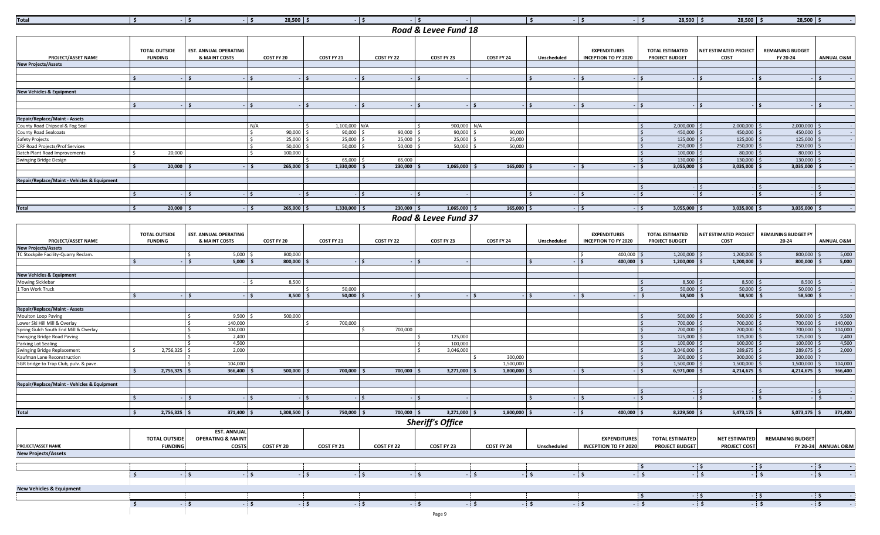| <u>Total</u>                                | ΙSΙ                                    | $-15$                                         | $-15$<br>$28,500$   \$ |                | $-15$<br>- 15 |                      |              | IS          | $-15$                                              | $-15$<br>$28,500$   \$                          | $28,500$   \$                 | 28,500   \$                         | $\sim$ $-$            |
|---------------------------------------------|----------------------------------------|-----------------------------------------------|------------------------|----------------|---------------|----------------------|--------------|-------------|----------------------------------------------------|-------------------------------------------------|-------------------------------|-------------------------------------|-----------------------|
|                                             |                                        |                                               |                        |                |               | Road & Levee Fund 18 |              |             |                                                    |                                                 |                               |                                     |                       |
| PROJECT/ASSET NAME                          | <b>TOTAL OUTSIDE</b><br><b>FUNDING</b> | <b>EST. ANNUAL OPERATING</b><br>& MAINT COSTS | COST FY 20             | COST FY 21     | COST FY 22    | COST FY 23           | COST FY 24   | Unscheduled | <b>EXPENDITURES</b><br><b>INCEPTION TO FY 2020</b> | <b>TOTAL ESTIMATED</b><br><b>PROJECT BUDGET</b> | NET ESTIMATED PROJECT<br>COST | <b>REMAINING BUDGET</b><br>FY 20-24 | <b>ANNUAL O&amp;M</b> |
| <b>New Projects/Assets</b>                  |                                        |                                               |                        |                |               |                      |              |             |                                                    |                                                 |                               |                                     |                       |
|                                             |                                        |                                               |                        |                |               |                      |              |             |                                                    |                                                 |                               |                                     |                       |
|                                             |                                        |                                               |                        |                |               |                      |              |             |                                                    |                                                 |                               |                                     |                       |
|                                             |                                        |                                               |                        |                |               |                      |              |             |                                                    |                                                 |                               |                                     |                       |
| <b>New Vehicles &amp; Equipment</b>         |                                        |                                               |                        |                |               |                      |              |             |                                                    |                                                 |                               |                                     |                       |
|                                             |                                        |                                               |                        |                |               |                      |              |             |                                                    |                                                 |                               |                                     |                       |
|                                             |                                        |                                               |                        |                | Ŝ.            | ۰IS                  |              |             | $-15$                                              |                                                 |                               |                                     |                       |
|                                             |                                        |                                               |                        |                |               |                      |              |             |                                                    |                                                 |                               |                                     |                       |
| <b>Repair/Replace/Maint - Assets</b>        |                                        |                                               |                        |                |               |                      |              |             |                                                    |                                                 |                               |                                     |                       |
| County Road Chipseal & Fog Seal             |                                        |                                               | N/A                    | 1,100,000 N/A  |               | 900,000 N/A          |              |             |                                                    | $2,000,000$ \$                                  | 2,000,000                     | $2,000,000$ \$                      |                       |
| <b>County Road Sealcoats</b>                |                                        |                                               | 90,000                 | $90,000$ \$    | 90,000        | 90,000               | 90,000       |             |                                                    | 450,000 \$                                      | 450,000                       | 450,000 \$                          |                       |
| Safety Projects                             |                                        |                                               | 25.000                 | 25,000         | 25,000        | 25,000               | 25,000       |             |                                                    | 125,000                                         | 125,000                       | 125,000 \$                          |                       |
| <b>CRF Road Projects/Prof Services</b>      |                                        |                                               | 50,000                 | 50,000         | 50,000        | 50,000               | 50,000       |             |                                                    | 250,000                                         | 250,000                       | 250,000 \$                          |                       |
| <b>Batch Plant Road Improvements</b>        | 20,000                                 |                                               | 100,000                |                |               |                      |              |             |                                                    | 100,000 \$                                      | $80,000$ \$                   | 80,000 \$                           |                       |
| Swinging Bridge Design                      |                                        |                                               |                        | 65,000         | 65.000        |                      |              |             |                                                    | $130,000$ $\mid$ :                              | 130,000                       | $130,000$ \$                        |                       |
|                                             | 20,000                                 |                                               | 265,000                | 1,330,000      | 230,000       | 1,065,000            | 165,000      |             |                                                    | 3,055,000                                       | 3,035,000                     | $3,035,000$ $\approx$               |                       |
|                                             |                                        |                                               |                        |                |               |                      |              |             |                                                    |                                                 |                               |                                     |                       |
| Repair/Replace/Maint - Vehicles & Equipment |                                        |                                               |                        |                |               |                      |              |             |                                                    |                                                 |                               |                                     |                       |
|                                             |                                        |                                               |                        |                | $-15$         |                      |              |             | $-15$                                              |                                                 |                               |                                     |                       |
|                                             |                                        |                                               |                        |                |               |                      |              |             |                                                    |                                                 |                               |                                     |                       |
| <b>Total</b>                                | $20,000$ \$<br>I S                     |                                               | $265,000$ \$<br>I S    | $1,330,000$ \$ | $230,000$ \$  | $1,065,000$ \$       | $165,000$ \$ |             | $-5$                                               | $3,055,000$ \$<br>$-15$                         | $3,035,000$ \$                | $3,035,000$ \$                      |                       |
|                                             |                                        |                                               |                        |                |               |                      |              |             |                                                    |                                                 |                               |                                     |                       |
|                                             |                                        |                                               |                        |                |               | Road & Levee Fund 37 |              |             |                                                    |                                                 |                               |                                     |                       |
|                                             |                                        |                                               |                        |                |               |                      |              |             |                                                    |                                                 |                               |                                     |                       |

|                                             |                                        |                                                    |                                     |                                     |                                                 | $10000$ $\alpha$ Level 1 0110 J/  |                                                 |             |                                                    |                                                 |                                                   |                         |                                 |
|---------------------------------------------|----------------------------------------|----------------------------------------------------|-------------------------------------|-------------------------------------|-------------------------------------------------|-----------------------------------|-------------------------------------------------|-------------|----------------------------------------------------|-------------------------------------------------|---------------------------------------------------|-------------------------|---------------------------------|
| <b>PROJECT/ASSET NAME</b>                   | <b>TOTAL OUTSIDE</b><br><b>FUNDING</b> | <b>EST. ANNUAL OPERATING</b><br>& MAINT COSTS      | COST FY 20                          | COST FY 21                          | COST FY 22                                      | COST FY 23                        | COST FY 24                                      | Unscheduled | <b>EXPENDITURES</b><br><b>INCEPTION TO FY 2020</b> | <b>TOTAL ESTIMATED</b><br><b>PROJECT BUDGET</b> | NET ESTIMATED PROJECT REMAINING BUDGET FY<br>COST | 20-24                   | <b>ANNUAL O&amp;M</b>           |
| <b>New Projects/Assets</b>                  |                                        |                                                    |                                     |                                     |                                                 |                                   |                                                 |             |                                                    |                                                 |                                                   |                         |                                 |
| TC Stockpile Facility-Quarry Reclam.        |                                        | $5,000$ \$                                         | 800.000                             |                                     |                                                 |                                   |                                                 |             | 400.000 \$                                         | 1.200.000                                       | 1.200.000                                         | 800,000                 | 5.000                           |
|                                             |                                        | 5,000                                              | 800,000                             |                                     |                                                 |                                   |                                                 |             | $400,000$ \$                                       | $1,200,000$ \$                                  | $1,200,000$ \$                                    | 800,000                 | 5,000                           |
| <b>New Vehicles &amp; Equipment</b>         |                                        |                                                    |                                     |                                     |                                                 |                                   |                                                 |             |                                                    |                                                 |                                                   |                         |                                 |
| Mowing Sicklebar                            |                                        |                                                    | 8,500                               |                                     |                                                 |                                   |                                                 |             |                                                    | 8,500                                           | $8,500$ \$                                        | $8,500$ \$              |                                 |
| 1 Ton Work Truck                            |                                        |                                                    |                                     | 50,000                              |                                                 |                                   |                                                 |             |                                                    | 50.000                                          | $50.000$ S                                        | $50.000$ \$             |                                 |
|                                             |                                        |                                                    | 8,500                               | 50,000                              |                                                 |                                   |                                                 |             |                                                    | 58,500                                          | $58,500$ \$                                       | $58,500$ \$             |                                 |
| Repair/Replace/Maint - Assets               |                                        |                                                    |                                     |                                     |                                                 |                                   |                                                 |             |                                                    |                                                 |                                                   |                         |                                 |
| Moulton Loop Paving                         |                                        | 9,500                                              | 500,000                             |                                     |                                                 |                                   |                                                 |             |                                                    | 500,000                                         | 500,000                                           | 500,000                 | 9,500                           |
| Lower Ski Hill Mill & Overlav               |                                        | 140.000                                            |                                     | 700.000                             |                                                 |                                   |                                                 |             |                                                    | 700,000                                         | 700,000                                           | 700,000                 | 140,000                         |
| Spring Gulch South End Mill & Overlay       |                                        | 104.000                                            |                                     |                                     | 700.000                                         |                                   |                                                 |             |                                                    | 700.000                                         | 700.000                                           | 700,000                 | 104.000                         |
| Swinging Bridge Road Paving                 |                                        | 2,400                                              |                                     |                                     |                                                 | 125,000                           |                                                 |             |                                                    | 125,000                                         | $125,000$ \$                                      | 125,000                 | 2,400                           |
| Parking Lot Sealing                         |                                        | 4.500                                              |                                     |                                     |                                                 | 100.000                           |                                                 |             |                                                    | 100,000                                         | $100,000$ \$                                      | 100,000                 | 4,500                           |
| <b>Swinging Bridge Replacement</b>          | 2,756,325                              | 2,000                                              |                                     |                                     |                                                 | 3.046.000                         |                                                 |             |                                                    | 3.046.000                                       | 289,675 \$                                        | 289.675                 | 2.000                           |
| Kaufman Lane Reconstruction                 |                                        |                                                    |                                     |                                     |                                                 |                                   | 300.000                                         |             |                                                    | 300,000                                         | 300,000 \$                                        | 300,000                 |                                 |
| SGR bridge to Trap Club, puly, & paye.      |                                        | 104,000                                            |                                     |                                     |                                                 |                                   | 1.500.000                                       |             |                                                    | 1.500.000                                       | 1.500.000 \$                                      | 1.500.000               | 104.000                         |
|                                             | 2,756,325                              | 366,400                                            | 500,000                             | 700,000                             | 700,000                                         | 3,271,000                         | 1,800,000                                       |             |                                                    | $6,971,000$                                     | $4,214,675$ \$                                    | $4,214,675$ \$          | 366,400                         |
| Repair/Replace/Maint - Vehicles & Equipment |                                        |                                                    |                                     |                                     |                                                 |                                   |                                                 |             |                                                    |                                                 |                                                   |                         |                                 |
|                                             |                                        |                                                    |                                     |                                     |                                                 |                                   |                                                 |             |                                                    |                                                 |                                                   |                         |                                 |
|                                             |                                        |                                                    |                                     |                                     |                                                 |                                   |                                                 |             |                                                    |                                                 |                                                   |                         |                                 |
| Total                                       | $2,756,325$ \$<br>Is.                  | $371,400$ \$                                       | $1,308,500$ \$                      | $750,000$ \$                        | $700,000$ \$                                    | $3,271,000$ \$                    | $1,800,000$ \$                                  |             | $400,000$ \$<br>$-15$                              | $8,229,500$ \$                                  | $5,473,175$ \$                                    | $5,073,175$ \$          | 371,400                         |
|                                             |                                        |                                                    |                                     |                                     |                                                 | <b>Sheriff's Office</b>           |                                                 |             |                                                    |                                                 |                                                   |                         |                                 |
|                                             | <b>TOTAL OUTSIDE</b>                   | <b>EST. ANNUAL</b><br><b>OPERATING &amp; MAINT</b> | the contract of the contract of the | the contract of the contract of the | the contract of the contract of the contract of | the company's company's company's | the contract of the contract of the contract of | .           | <b>EXPENDITURES</b>                                | <b>TOTAL ESTIMATED</b>                          | <b>NET ESTIMATED</b>                              | <b>REMAINING BUDGET</b> | the contract of the contract of |

**PROJECT/ASSET NAME New Projects/Assets FUNDING COSTS COST FY 20 COST FY 21 COST FY 22 COST FY 23 COST FY 24 Unscheduled INCEPTION TO FY 2020 PROJECT BUDGET PROJECT COST FY 20-24 ANNUAL O&M \$ - \$ - \$ - \$ - \$ - \$ - \$ - \$ - \$ - \$ - \$ - \$ - \$ - \$ - \$ - \$ - \$ - New Vehicles & Equipment \$ - \$ - \$ - \$ - \$ - \$ - \$ - \$ - \$ - \$ - \$ - \$ - \$ - \$ - \$ - \$ - \$ -**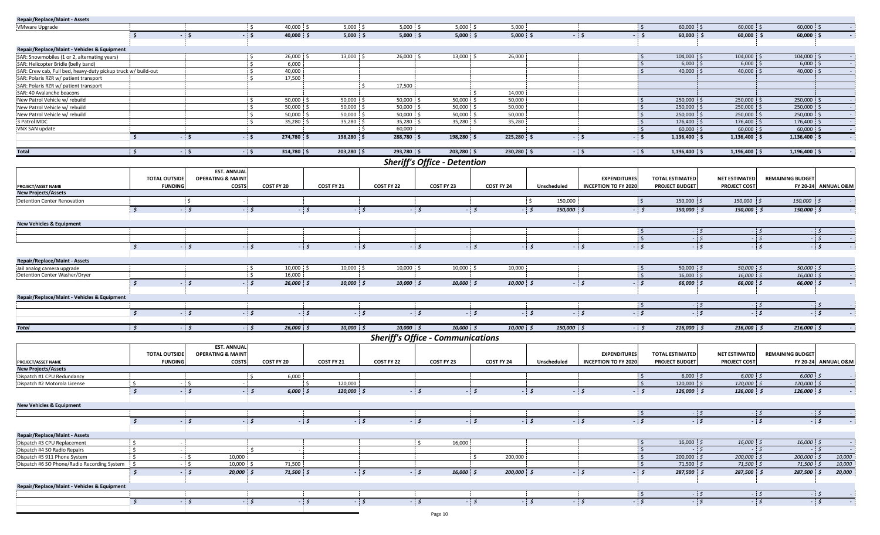| Repair/Replace/Maint - Assets                                 |                      |                              |                            |                 |                   |                                          |            |                    |                             |                                       |                      |                         |                     |
|---------------------------------------------------------------|----------------------|------------------------------|----------------------------|-----------------|-------------------|------------------------------------------|------------|--------------------|-----------------------------|---------------------------------------|----------------------|-------------------------|---------------------|
| <b>VMware Upgrade</b>                                         |                      |                              | : \$<br>40,000 \$          | $5,000$ \$      | $5,000$ \$        | $5,000$ \$                               | 5,000      |                    |                             | $60,000$ \$<br>: \$                   | $60,000$ \$          | 60,000 \$               |                     |
|                                                               | s.                   | ∣\$                          | $-5$<br>40,000 \$          | $5,000$ \$      | $5,000$ \$        | $5,000$ \$                               | $5,000$ \$ |                    | $-5$<br>- \$                | $60,000$ \$                           | $60,000$ \$          | $60,000$ \$             |                     |
|                                                               |                      |                              |                            |                 |                   |                                          |            |                    |                             |                                       |                      |                         |                     |
| Repair/Replace/Maint - Vehicles & Equipment                   |                      |                              |                            |                 |                   |                                          |            |                    |                             |                                       |                      |                         |                     |
| SAR: Snowmobiles (1 or 2, alternating years)                  |                      |                              | 26,000 \$<br>: \$          | $13,000$ \$     | 26,000 \$         | $13,000$ \$                              | 26,000     |                    | : \$                        | 104,000 \$                            | 104,000 \$           | 104,000 \$              |                     |
| SAR: Helicopter Bridle (belly band)                           |                      |                              | $\ddot{s}$<br>6,000        |                 |                   |                                          |            |                    |                             | $\sim$<br>$6,000$ \$                  | $6,000$ \$           | $6,000$ \$              |                     |
| SAR: Crew cab, Full bed, heavy-duty pickup truck w/ build-out |                      |                              | l s<br>40,000              |                 |                   |                                          |            |                    |                             | 40,000 \$<br>۱Ś.                      | $40,000$ \$          | 40,000 \$               |                     |
| SAR: Polaris RZR w/ patient transport                         |                      |                              | 17,500<br>i \$             |                 |                   |                                          |            |                    |                             |                                       |                      |                         |                     |
| SAR: Polaris RZR w/ patient transport                         |                      |                              |                            |                 | 17,500<br>$\zeta$ |                                          |            |                    |                             |                                       |                      |                         |                     |
| SAR: 40 Avalanche beacons                                     |                      |                              |                            |                 |                   |                                          | 14,000     |                    |                             |                                       |                      |                         |                     |
| New Patrol Vehicle w/ rebuild                                 |                      |                              | $50,000$ \$<br>: \$        | 50,000 \$       | 50,000            | 50,000                                   | 50,000     |                    |                             | 250,000 \$                            | 250,000 \$           | 250,000 \$              |                     |
| New Patrol Vehicle w/ rebuild                                 |                      |                              | 50,000<br>. S              | 50,000          | 50,000            | 50,000                                   | 50,000     |                    |                             | 250,000<br>۰s                         | 250,000              | 250,000                 |                     |
| New Patrol Vehicle w/ rebuild                                 |                      |                              | <b>S</b><br>50,000         | 50,000          | 50,000            | 50,000                                   | 50,000     |                    |                             | 250,000 \$<br>$\frac{1}{2}$           | 250,000              | 250,000                 | $\sim$              |
| 3 Patrol MDC                                                  |                      |                              | $\frac{1}{2}$<br>35,280 \$ | 35,280 \$       | 35,280 \$<br>\$   | 35,280 \$                                | 35,280     |                    |                             | 176,400 \$<br>$\frac{1}{2}$           | 176,400 \$           | 176,400 \$              |                     |
| VNX SAN update                                                |                      |                              |                            |                 | 60,000            |                                          |            |                    |                             | $\mathsf{S}$<br>$60,000$ \$           | 60,000 \$            | 60,000 \$               |                     |
|                                                               | $\mathsf{S}$         | $-5$                         | $-5$<br>274,780 \$         | 198,280 \$      | 288,780 \$        | 198,280 \$                               | 225,280 \$ |                    | $-5$<br>$-5$                | 1,136,400 \$                          | 1,136,400 \$         | 1,136,400 \$            |                     |
|                                                               |                      |                              |                            |                 |                   |                                          |            |                    |                             |                                       |                      |                         |                     |
| <b>Total</b>                                                  | <b>S</b>             | $-5$                         | $-5$<br>314,780 \$         | 203,280 \$      | 293,780 \$        | 203,280 \$                               | 230,280 \$ |                    | $-5$<br>$-5$                | 1,196,400 \$                          | $1,196,400$ \$       | 1,196,400 \$            |                     |
|                                                               |                      |                              |                            |                 |                   | Sheriff's Office - Detention             |            |                    |                             |                                       |                      |                         |                     |
|                                                               |                      | <b>EST. ANNUAL</b>           |                            |                 |                   |                                          |            |                    |                             |                                       |                      |                         |                     |
|                                                               | <b>TOTAL OUTSIDE</b> | <b>OPERATING &amp; MAINT</b> |                            |                 |                   |                                          |            |                    | <b>EXPENDITURES</b>         | <b>TOTAL ESTIMATED</b>                | NET ESTIMATED        | <b>REMAINING BUDGET</b> |                     |
| PROJECT/ASSET NAME                                            | <b>FUNDING</b>       | <b>COSTS</b>                 | COST FY 20                 | COST FY 21      | COST FY 22        | COST FY 23                               | COST FY 24 | Unscheduled        | <b>INCEPTION TO FY 2020</b> | <b>PROJECT BUDGET</b>                 | <b>PROJECT COST</b>  |                         | FY 20-24 ANNUAL O&M |
| <b>New Projects/Assets</b>                                    |                      |                              |                            |                 |                   |                                          |            |                    |                             |                                       |                      |                         |                     |
| Detention Center Renovation                                   |                      | . S                          |                            |                 |                   |                                          |            | 150,000            |                             | 150,000 \$<br>'\$                     | 150,000 \$           | 150,000 \$              |                     |
|                                                               | 5                    | - 5                          | $-5$                       | $-5$            | $-5$              | - 5<br>- 5                               |            |                    | $-5$                        |                                       |                      |                         |                     |
|                                                               |                      |                              |                            |                 |                   |                                          |            | 150,000 \$<br>$-5$ |                             | 150,000 \$                            | 150,000 \$           | 150,000 \$              |                     |
|                                                               |                      |                              |                            |                 |                   |                                          |            |                    |                             |                                       |                      |                         |                     |
| <b>New Vehicles &amp; Equipment</b>                           |                      |                              |                            |                 |                   |                                          |            |                    |                             | -\$                                   |                      |                         |                     |
|                                                               |                      |                              |                            |                 |                   |                                          |            |                    |                             | $\mathsf{S}$                          | $-5$<br>$-5$         | $-5$<br>$-5$            | $-5$<br>$-5$        |
|                                                               |                      |                              |                            |                 |                   |                                          |            |                    |                             |                                       |                      |                         |                     |
|                                                               | s.                   | - 5                          | $-5$                       | $-5$<br>$-5$    |                   | - 5<br>$-5$                              |            | - 5                | - 5<br>5                    |                                       | - 5                  | - \$                    | - 5                 |
|                                                               |                      |                              |                            |                 |                   |                                          |            |                    |                             |                                       |                      |                         |                     |
| Repair/Replace/Maint - Assets<br>Jail analog camera upgrade   |                      |                              | $10,000$ \$<br>l S         | $10,000$ \$     | 10,000 \$         | $10,000$ \$                              | 10,000     |                    |                             | 50,000 $\frac{2}{5}$<br>$\frac{1}{2}$ | 50,000 \$            | 50,000 \$               |                     |
| Detention Center Washer/Dryer                                 |                      |                              | 16,000<br>- \$             |                 |                   |                                          |            |                    |                             | <b>S</b><br>$16,000$ \$               | $16,000;$ \$         | 16,000 \$               |                     |
|                                                               |                      |                              |                            |                 |                   |                                          |            |                    |                             |                                       |                      |                         |                     |
|                                                               | s.                   | - 5                          | $-5$<br>$26,000$ \$        | 10,000 \$       | 10,000 \$         | 10,000 \$                                | 10,0005    |                    | $-5$<br>5                   | 66,000 \$                             | 66,000 \$            | 66,000 \$               |                     |
| Repair/Replace/Maint - Vehicles & Equipment                   |                      |                              |                            |                 |                   |                                          |            |                    |                             |                                       |                      |                         |                     |
|                                                               |                      |                              |                            |                 |                   |                                          |            |                    |                             | 5                                     | $-5$                 | $-5$                    |                     |
|                                                               |                      |                              |                            |                 |                   | $-5$                                     |            |                    | $-5$                        |                                       |                      |                         |                     |
|                                                               | \$                   | 5                            | $-5$                       | - 5             | $-5$              | $-5$                                     |            | $-5$               | - \$                        |                                       | $-5$                 | $-5$                    | $-5$                |
|                                                               |                      |                              |                            |                 |                   |                                          |            |                    |                             |                                       |                      |                         |                     |
| <b>Total</b>                                                  | $\mathsf{S}$         | $-5$                         | $-5$<br>26,000 \$          | $10,000$ \$     | 10,000 \$         | 10,000 \$                                | 10,000 \$  | 150,000 \$         | - 5                         | 216,000 \$                            | 216,000 \$           | 216,000 \$              |                     |
|                                                               |                      |                              |                            |                 |                   | <b>Sheriff's Office - Communications</b> |            |                    |                             |                                       |                      |                         |                     |
|                                                               |                      | <b>EST. ANNUAL</b>           |                            |                 |                   |                                          |            |                    |                             |                                       |                      |                         |                     |
|                                                               | <b>TOTAL OUTSIDE</b> | <b>OPERATING &amp; MAINT</b> |                            |                 |                   |                                          |            |                    | <b>EXPENDITURES</b>         | <b>TOTAL ESTIMATED</b>                | <b>NET ESTIMATED</b> | <b>REMAINING BUDGET</b> |                     |
| PROJECT/ASSET NAME                                            | <b>FUNDING</b>       | <b>COSTS</b>                 | COST FY 20                 | COST FY 21      | COST FY 22        | COST FY 23                               | COST FY 24 | Unscheduled        | <b>INCEPTION TO FY 2020</b> | <b>PROJECT BUDGET</b>                 | <b>PROJECT COST</b>  |                         | FY 20-24 ANNUAL O&M |
| <b>New Projects/Assets</b>                                    |                      |                              |                            |                 |                   |                                          |            |                    |                             |                                       |                      |                         |                     |
| Dispatch #1 CPU Redundancy                                    |                      |                              | 6,000<br>i s               |                 |                   |                                          |            |                    |                             | : \$<br>$6,000$ \$                    | $6,000$ \$           | $6,000$ \$              |                     |
| Dispatch #2 Motorola License                                  | - \$                 | $-5$                         |                            | 120,000<br>- \$ |                   |                                          |            |                    |                             | $\sim$<br>120,000 \$                  | 120,000 \$           | 120,000 \$              |                     |
|                                                               | $\mathfrak{s}$       | $-5$                         | $-5$<br>$6,000 \le$        | 120,000 \$      |                   | $-5$<br>$-5$                             |            | $-5$               | $-5$<br>- 5                 | 126,000 \$                            | 126,000 \$           | 126,000 \$              |                     |
|                                                               |                      |                              |                            |                 |                   |                                          |            |                    |                             |                                       |                      |                         |                     |
| <b>New Vehicles &amp; Equipment</b>                           |                      |                              |                            |                 |                   |                                          |            |                    |                             |                                       |                      |                         |                     |
|                                                               |                      |                              |                            |                 |                   |                                          |            |                    |                             | : \$                                  | $-5$                 | $-5$                    | $-5$<br>$\sim$      |
|                                                               | \$                   | - \$                         | $-5$                       | $-5$            | $-5$              | $-5$                                     | $-5$       | $-5$               | $-5$<br>$-5$                |                                       | $-5$                 | $-5$                    | $-5$                |
|                                                               |                      |                              |                            |                 |                   |                                          |            |                    |                             |                                       |                      |                         |                     |
| <b>Repair/Replace/Maint - Assets</b>                          |                      |                              |                            |                 |                   |                                          |            |                    |                             |                                       |                      |                         |                     |
| Dispatch #3 CPU Replacement                                   | $\sim$               |                              |                            |                 |                   | 16,000<br>$\cdot$ \$                     |            |                    |                             | $16,000 \div$ \$<br><b>S</b>          | $16,000 \leq$        | 16,000 \$               |                     |
| Dispatch #4 SO Radio Repairs                                  | i s<br>$-1$          |                              | Ŝ.<br>- 1                  |                 |                   |                                          |            |                    |                             | <b>S</b>                              | $-5$                 | $-5$                    | $-5$<br>$\sim$      |
| Dispatch #5 911 Phone System                                  | $\mathsf{S}$         | 10,000<br>$-5$               |                            |                 |                   |                                          | 200,000    |                    |                             | $\frac{1}{2}$<br>$200,000$ \$         | $200,000$ \$         | $200,000$ \$            | 10,000              |
| Dispatch #6 SO Phone/Radio Recording System                   | : \$                 | $-5$<br>$10,000$ \$          | 71,500                     |                 |                   |                                          |            |                    |                             | $\mathsf{S}$<br>$71,500$ \$           | $71,500$ \$          | $71,500$ \$             | 10,000              |
|                                                               | $\mathfrak{s}$       | $-5$<br>20,000 \$            | $71,500$ \$                |                 | $-5$              | $-5$<br>$16,000 \leq$                    | 200,000 \$ |                    | $-5$<br>$-5$                | 287,500 \$                            | 287,500 \$           | 287,500 \$              | 20,000              |
|                                                               |                      |                              |                            |                 |                   |                                          |            |                    |                             |                                       |                      |                         |                     |
| Repair/Replace/Maint - Vehicles & Equipment                   |                      |                              |                            |                 |                   |                                          |            |                    |                             |                                       |                      |                         |                     |
|                                                               |                      |                              |                            |                 |                   |                                          |            |                    |                             | <b>S</b>                              | $-5$                 | $-5$                    | $-5$                |
|                                                               | $\sqrt{5}$           | $-5$                         | $-5$                       | $-5$<br>$-5$    |                   | $-5$<br>$-5$                             |            | $-5$               | $-5$<br>$-5$                |                                       | $-5$                 | $-5$                    | $-5$                |